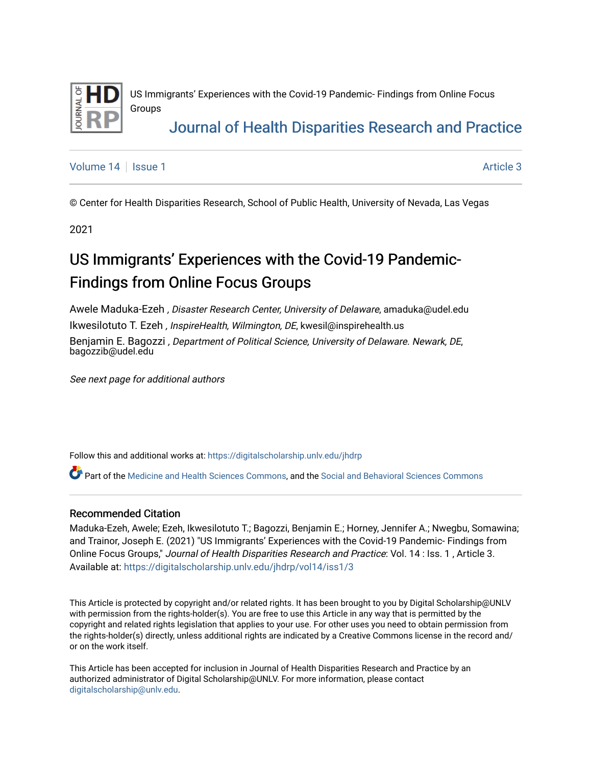

US Immigrants' Experiences with the Covid-19 Pandemic- Findings from Online Focus Groups

# [Journal of Health Disparities Research and Practice](https://digitalscholarship.unlv.edu/jhdrp)

[Volume 14](https://digitalscholarship.unlv.edu/jhdrp/vol14) | [Issue 1](https://digitalscholarship.unlv.edu/jhdrp/vol14/iss1) Article 3

© Center for Health Disparities Research, School of Public Health, University of Nevada, Las Vegas

2021

# US Immigrants' Experiences with the Covid-19 Pandemic-Findings from Online Focus Groups

Awele Maduka-Ezeh , Disaster Research Center, University of Delaware, amaduka@udel.edu Ikwesilotuto T. Ezeh , InspireHealth, Wilmington, DE, kwesil@inspirehealth.us Benjamin E. Bagozzi , Department of Political Science, University of Delaware. Newark, DE, bagozzib@udel.edu

See next page for additional authors

Follow this and additional works at: [https://digitalscholarship.unlv.edu/jhdrp](https://digitalscholarship.unlv.edu/jhdrp?utm_source=digitalscholarship.unlv.edu%2Fjhdrp%2Fvol14%2Fiss1%2F3&utm_medium=PDF&utm_campaign=PDFCoverPages) 

Part of the [Medicine and Health Sciences Commons](http://network.bepress.com/hgg/discipline/648?utm_source=digitalscholarship.unlv.edu%2Fjhdrp%2Fvol14%2Fiss1%2F3&utm_medium=PDF&utm_campaign=PDFCoverPages), and the Social and Behavioral Sciences Commons

#### Recommended Citation

Maduka-Ezeh, Awele; Ezeh, Ikwesilotuto T.; Bagozzi, Benjamin E.; Horney, Jennifer A.; Nwegbu, Somawina; and Trainor, Joseph E. (2021) "US Immigrants' Experiences with the Covid-19 Pandemic- Findings from Online Focus Groups," Journal of Health Disparities Research and Practice: Vol. 14 : Iss. 1 , Article 3. Available at: [https://digitalscholarship.unlv.edu/jhdrp/vol14/iss1/3](https://digitalscholarship.unlv.edu/jhdrp/vol14/iss1/3?utm_source=digitalscholarship.unlv.edu%2Fjhdrp%2Fvol14%2Fiss1%2F3&utm_medium=PDF&utm_campaign=PDFCoverPages) 

This Article is protected by copyright and/or related rights. It has been brought to you by Digital Scholarship@UNLV with permission from the rights-holder(s). You are free to use this Article in any way that is permitted by the copyright and related rights legislation that applies to your use. For other uses you need to obtain permission from the rights-holder(s) directly, unless additional rights are indicated by a Creative Commons license in the record and/ or on the work itself.

This Article has been accepted for inclusion in Journal of Health Disparities Research and Practice by an authorized administrator of Digital Scholarship@UNLV. For more information, please contact [digitalscholarship@unlv.edu](mailto:digitalscholarship@unlv.edu).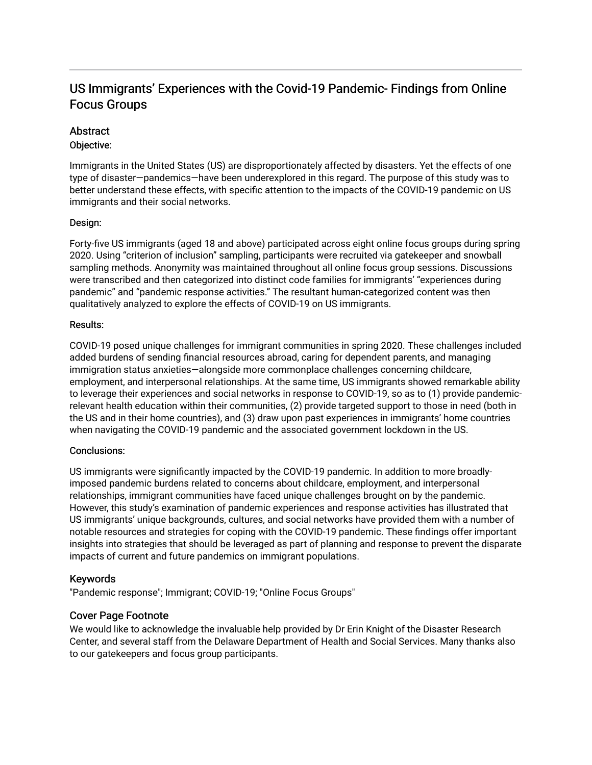### US Immigrants' Experiences with the Covid-19 Pandemic- Findings from Online Focus Groups

#### **Abstract**

#### Objective:

Immigrants in the United States (US) are disproportionately affected by disasters. Yet the effects of one type of disaster—pandemics—have been underexplored in this regard. The purpose of this study was to better understand these effects, with specific attention to the impacts of the COVID-19 pandemic on US immigrants and their social networks.

#### Design:

Forty-five US immigrants (aged 18 and above) participated across eight online focus groups during spring 2020. Using "criterion of inclusion" sampling, participants were recruited via gatekeeper and snowball sampling methods. Anonymity was maintained throughout all online focus group sessions. Discussions were transcribed and then categorized into distinct code families for immigrants' "experiences during pandemic" and "pandemic response activities." The resultant human-categorized content was then qualitatively analyzed to explore the effects of COVID-19 on US immigrants.

#### Results:

COVID-19 posed unique challenges for immigrant communities in spring 2020. These challenges included added burdens of sending financial resources abroad, caring for dependent parents, and managing immigration status anxieties—alongside more commonplace challenges concerning childcare, employment, and interpersonal relationships. At the same time, US immigrants showed remarkable ability to leverage their experiences and social networks in response to COVID-19, so as to (1) provide pandemicrelevant health education within their communities, (2) provide targeted support to those in need (both in the US and in their home countries), and (3) draw upon past experiences in immigrants' home countries when navigating the COVID-19 pandemic and the associated government lockdown in the US.

#### Conclusions:

US immigrants were significantly impacted by the COVID-19 pandemic. In addition to more broadlyimposed pandemic burdens related to concerns about childcare, employment, and interpersonal relationships, immigrant communities have faced unique challenges brought on by the pandemic. However, this study's examination of pandemic experiences and response activities has illustrated that US immigrants' unique backgrounds, cultures, and social networks have provided them with a number of notable resources and strategies for coping with the COVID-19 pandemic. These findings offer important insights into strategies that should be leveraged as part of planning and response to prevent the disparate impacts of current and future pandemics on immigrant populations.

#### Keywords

"Pandemic response"; Immigrant; COVID-19; "Online Focus Groups"

#### Cover Page Footnote

We would like to acknowledge the invaluable help provided by Dr Erin Knight of the Disaster Research Center, and several staff from the Delaware Department of Health and Social Services. Many thanks also to our gatekeepers and focus group participants.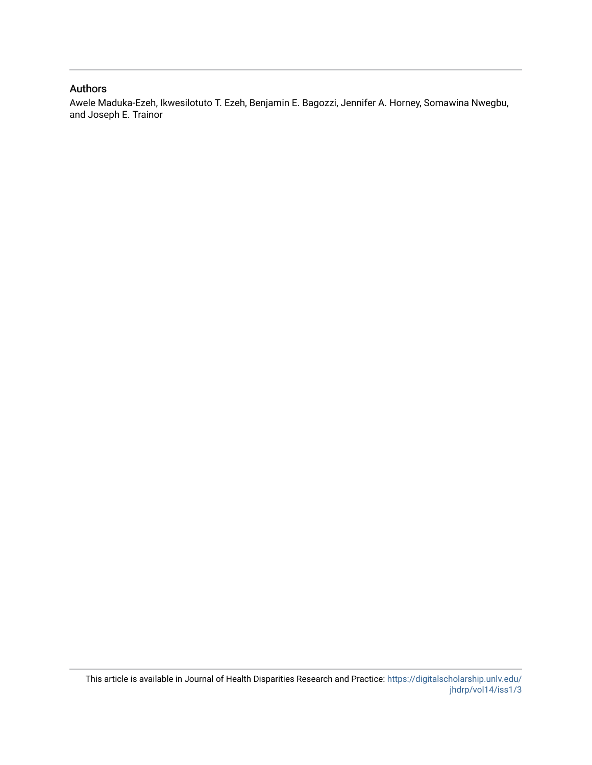#### Authors

Awele Maduka-Ezeh, Ikwesilotuto T. Ezeh, Benjamin E. Bagozzi, Jennifer A. Horney, Somawina Nwegbu, and Joseph E. Trainor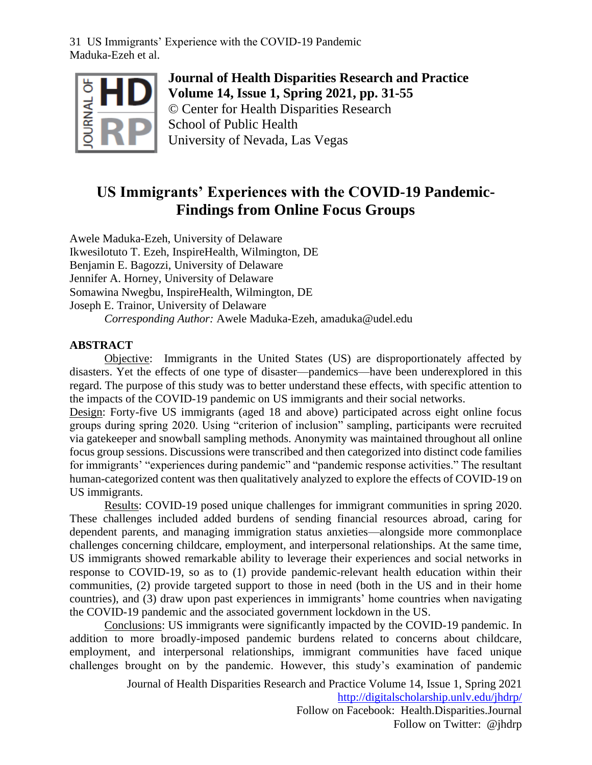

**Journal of Health Disparities Research and Practice Volume 14, Issue 1, Spring 2021, pp. 31-55** © Center for Health Disparities Research School of Public Health University of Nevada, Las Vegas

## **US Immigrants' Experiences with the COVID-19 Pandemic-Findings from Online Focus Groups**

Awele Maduka-Ezeh, University of Delaware Ikwesilotuto T. Ezeh, InspireHealth, Wilmington, DE Benjamin E. Bagozzi, University of Delaware Jennifer A. Horney, University of Delaware Somawina Nwegbu, InspireHealth, Wilmington, DE Joseph E. Trainor, University of Delaware *Corresponding Author:* Awele Maduka-Ezeh, amaduka@udel.edu

#### **ABSTRACT**

Objective: Immigrants in the United States (US) are disproportionately affected by disasters. Yet the effects of one type of disaster—pandemics—have been underexplored in this regard. The purpose of this study was to better understand these effects, with specific attention to the impacts of the COVID-19 pandemic on US immigrants and their social networks.

Design: Forty-five US immigrants (aged 18 and above) participated across eight online focus groups during spring 2020. Using "criterion of inclusion" sampling, participants were recruited via gatekeeper and snowball sampling methods. Anonymity was maintained throughout all online focus group sessions. Discussions were transcribed and then categorized into distinct code families for immigrants' "experiences during pandemic" and "pandemic response activities." The resultant human-categorized content was then qualitatively analyzed to explore the effects of COVID-19 on US immigrants.

Results: COVID-19 posed unique challenges for immigrant communities in spring 2020. These challenges included added burdens of sending financial resources abroad, caring for dependent parents, and managing immigration status anxieties—alongside more commonplace challenges concerning childcare, employment, and interpersonal relationships. At the same time, US immigrants showed remarkable ability to leverage their experiences and social networks in response to COVID-19, so as to (1) provide pandemic-relevant health education within their communities, (2) provide targeted support to those in need (both in the US and in their home countries), and (3) draw upon past experiences in immigrants' home countries when navigating the COVID-19 pandemic and the associated government lockdown in the US.

Conclusions: US immigrants were significantly impacted by the COVID-19 pandemic. In addition to more broadly-imposed pandemic burdens related to concerns about childcare, employment, and interpersonal relationships, immigrant communities have faced unique challenges brought on by the pandemic. However, this study's examination of pandemic

> Journal of Health Disparities Research and Practice Volume 14, Issue 1, Spring 2021 <http://digitalscholarship.unlv.edu/jhdrp/> Follow on Facebook: Health.Disparities.Journal

> > Follow on Twitter: @jhdrp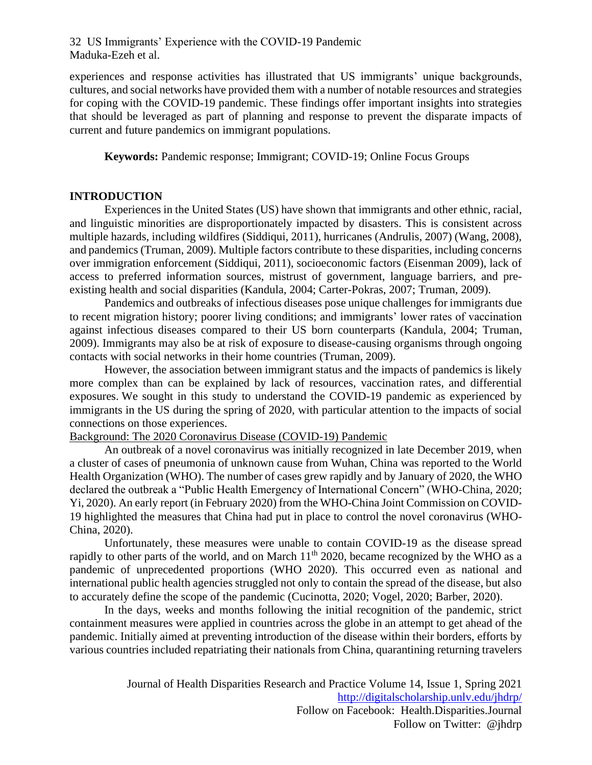experiences and response activities has illustrated that US immigrants' unique backgrounds, cultures, and social networks have provided them with a number of notable resources and strategies for coping with the COVID-19 pandemic. These findings offer important insights into strategies that should be leveraged as part of planning and response to prevent the disparate impacts of current and future pandemics on immigrant populations.

**Keywords:** Pandemic response; Immigrant; COVID-19; Online Focus Groups

#### **INTRODUCTION**

Experiences in the United States (US) have shown that immigrants and other ethnic, racial, and linguistic minorities are disproportionately impacted by disasters. This is consistent across multiple hazards, including wildfires (Siddiqui, 2011), hurricanes (Andrulis, 2007) (Wang, 2008), and pandemics (Truman, 2009). Multiple factors contribute to these disparities, including concerns over immigration enforcement (Siddiqui, 2011), socioeconomic factors (Eisenman 2009), lack of access to preferred information sources, mistrust of government, language barriers, and preexisting health and social disparities (Kandula, 2004; Carter-Pokras, 2007; Truman, 2009).

Pandemics and outbreaks of infectious diseases pose unique challenges for immigrants due to recent migration history; poorer living conditions; and immigrants' lower rates of vaccination against infectious diseases compared to their US born counterparts (Kandula, 2004; Truman, 2009). Immigrants may also be at risk of exposure to disease-causing organisms through ongoing contacts with social networks in their home countries (Truman, 2009).

However, the association between immigrant status and the impacts of pandemics is likely more complex than can be explained by lack of resources, vaccination rates, and differential exposures. We sought in this study to understand the COVID-19 pandemic as experienced by immigrants in the US during the spring of 2020, with particular attention to the impacts of social connections on those experiences.

#### Background: The 2020 Coronavirus Disease (COVID-19) Pandemic

An outbreak of a novel coronavirus was initially recognized in late December 2019, when a cluster of cases of pneumonia of unknown cause from Wuhan, China was reported to the World Health Organization (WHO). The number of cases grew rapidly and by January of 2020, the WHO declared the outbreak a "Public Health Emergency of International Concern" (WHO-China, 2020; Yi, 2020). An early report (in February 2020) from the WHO-China Joint Commission on COVID-19 highlighted the measures that China had put in place to control the novel coronavirus (WHO-China, 2020).

Unfortunately, these measures were unable to contain COVID-19 as the disease spread rapidly to other parts of the world, and on March  $11<sup>th</sup>$  2020, became recognized by the WHO as a pandemic of unprecedented proportions (WHO 2020). This occurred even as national and international public health agencies struggled not only to contain the spread of the disease, but also to accurately define the scope of the pandemic (Cucinotta, 2020; Vogel, 2020; Barber, 2020).

In the days, weeks and months following the initial recognition of the pandemic, strict containment measures were applied in countries across the globe in an attempt to get ahead of the pandemic. Initially aimed at preventing introduction of the disease within their borders, efforts by various countries included repatriating their nationals from China, quarantining returning travelers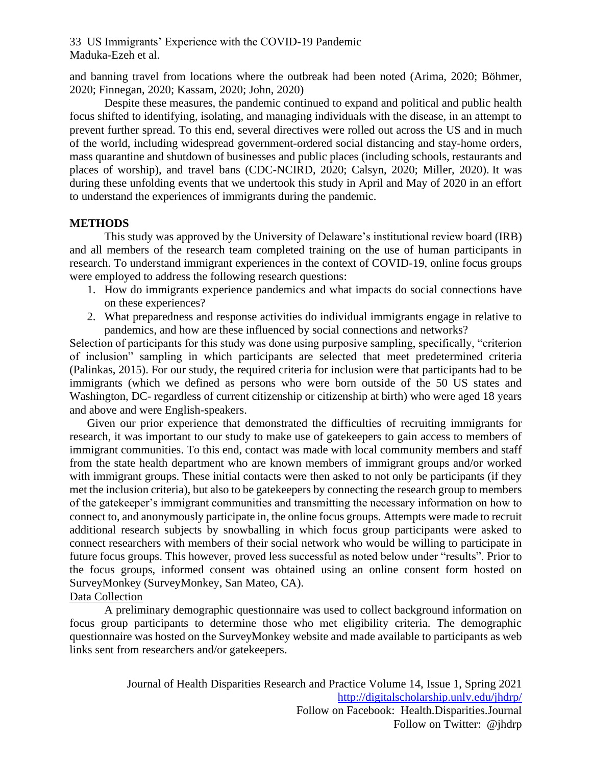and banning travel from locations where the outbreak had been noted (Arima, 2020; Böhmer, 2020; Finnegan, 2020; Kassam, 2020; John, 2020)

Despite these measures, the pandemic continued to expand and political and public health focus shifted to identifying, isolating, and managing individuals with the disease, in an attempt to prevent further spread. To this end, several directives were rolled out across the US and in much of the world, including widespread government-ordered social distancing and stay-home orders, mass quarantine and shutdown of businesses and public places (including schools, restaurants and places of worship), and travel bans (CDC-NCIRD, 2020; Calsyn, 2020; Miller, 2020). It was during these unfolding events that we undertook this study in April and May of 2020 in an effort to understand the experiences of immigrants during the pandemic.

#### **METHODS**

This study was approved by the University of Delaware's institutional review board (IRB) and all members of the research team completed training on the use of human participants in research. To understand immigrant experiences in the context of COVID-19, online focus groups were employed to address the following research questions:

- 1. How do immigrants experience pandemics and what impacts do social connections have on these experiences?
- 2. What preparedness and response activities do individual immigrants engage in relative to pandemics, and how are these influenced by social connections and networks?

Selection of participants for this study was done using purposive sampling, specifically, "criterion of inclusion" sampling in which participants are selected that meet predetermined criteria (Palinkas, 2015). For our study, the required criteria for inclusion were that participants had to be immigrants (which we defined as persons who were born outside of the 50 US states and Washington, DC- regardless of current citizenship or citizenship at birth) who were aged 18 years and above and were English-speakers.

Given our prior experience that demonstrated the difficulties of recruiting immigrants for research, it was important to our study to make use of gatekeepers to gain access to members of immigrant communities. To this end, contact was made with local community members and staff from the state health department who are known members of immigrant groups and/or worked with immigrant groups. These initial contacts were then asked to not only be participants (if they met the inclusion criteria), but also to be gatekeepers by connecting the research group to members of the gatekeeper's immigrant communities and transmitting the necessary information on how to connect to, and anonymously participate in, the online focus groups. Attempts were made to recruit additional research subjects by snowballing in which focus group participants were asked to connect researchers with members of their social network who would be willing to participate in future focus groups. This however, proved less successful as noted below under "results". Prior to the focus groups, informed consent was obtained using an online consent form hosted on SurveyMonkey (SurveyMonkey, San Mateo, CA).

#### Data Collection

A preliminary demographic questionnaire was used to collect background information on focus group participants to determine those who met eligibility criteria. The demographic questionnaire was hosted on the SurveyMonkey website and made available to participants as web links sent from researchers and/or gatekeepers.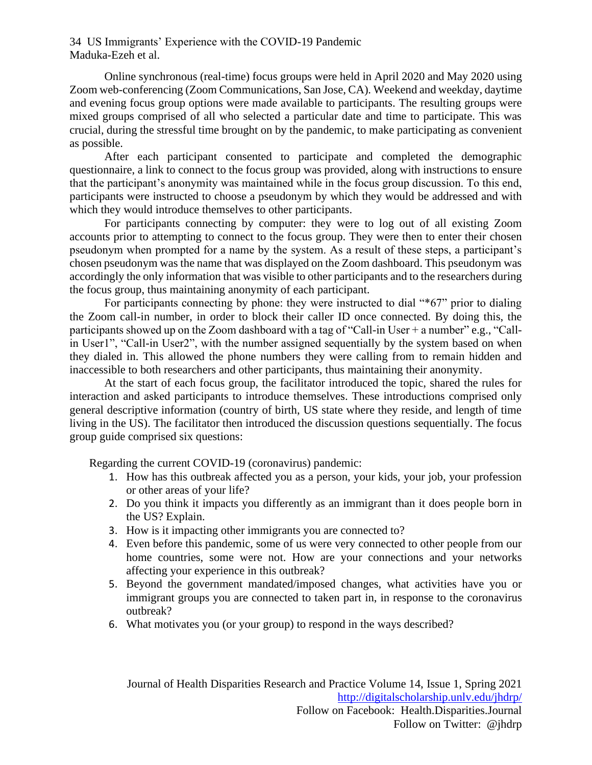Online synchronous (real-time) focus groups were held in April 2020 and May 2020 using Zoom web-conferencing (Zoom Communications, San Jose, CA). Weekend and weekday, daytime and evening focus group options were made available to participants. The resulting groups were mixed groups comprised of all who selected a particular date and time to participate. This was crucial, during the stressful time brought on by the pandemic, to make participating as convenient as possible.

After each participant consented to participate and completed the demographic questionnaire, a link to connect to the focus group was provided, along with instructions to ensure that the participant's anonymity was maintained while in the focus group discussion. To this end, participants were instructed to choose a pseudonym by which they would be addressed and with which they would introduce themselves to other participants.

For participants connecting by computer: they were to log out of all existing Zoom accounts prior to attempting to connect to the focus group. They were then to enter their chosen pseudonym when prompted for a name by the system. As a result of these steps, a participant's chosen pseudonym was the name that was displayed on the Zoom dashboard. This pseudonym was accordingly the only information that was visible to other participants and to the researchers during the focus group, thus maintaining anonymity of each participant.

For participants connecting by phone: they were instructed to dial "\*67" prior to dialing the Zoom call-in number, in order to block their caller ID once connected. By doing this, the participants showed up on the Zoom dashboard with a tag of "Call-in User + a number" e.g., "Callin User1", "Call-in User2", with the number assigned sequentially by the system based on when they dialed in. This allowed the phone numbers they were calling from to remain hidden and inaccessible to both researchers and other participants, thus maintaining their anonymity.

At the start of each focus group, the facilitator introduced the topic, shared the rules for interaction and asked participants to introduce themselves. These introductions comprised only general descriptive information (country of birth, US state where they reside, and length of time living in the US). The facilitator then introduced the discussion questions sequentially. The focus group guide comprised six questions:

Regarding the current COVID-19 (coronavirus) pandemic:

- 1. How has this outbreak affected you as a person, your kids, your job, your profession or other areas of your life?
- 2. Do you think it impacts you differently as an immigrant than it does people born in the US? Explain.
- 3. How is it impacting other immigrants you are connected to?
- 4. Even before this pandemic, some of us were very connected to other people from our home countries, some were not. How are your connections and your networks affecting your experience in this outbreak?
- 5. Beyond the government mandated/imposed changes, what activities have you or immigrant groups you are connected to taken part in, in response to the coronavirus outbreak?
- 6. What motivates you (or your group) to respond in the ways described?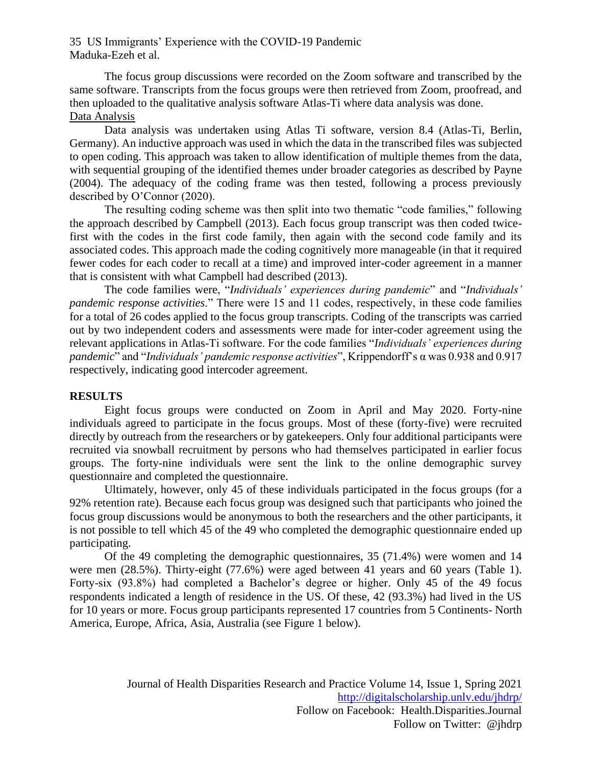The focus group discussions were recorded on the Zoom software and transcribed by the same software. Transcripts from the focus groups were then retrieved from Zoom, proofread, and then uploaded to the qualitative analysis software Atlas-Ti where data analysis was done. Data Analysis

Data analysis was undertaken using Atlas Ti software, version 8.4 (Atlas-Ti, Berlin, Germany). An inductive approach was used in which the data in the transcribed files was subjected to open coding. This approach was taken to allow identification of multiple themes from the data, with sequential grouping of the identified themes under broader categories as described by Payne (2004). The adequacy of the coding frame was then tested, following a process previously described by O'Connor (2020).

The resulting coding scheme was then split into two thematic "code families," following the approach described by Campbell (2013). Each focus group transcript was then coded twicefirst with the codes in the first code family, then again with the second code family and its associated codes. This approach made the coding cognitively more manageable (in that it required fewer codes for each coder to recall at a time) and improved inter-coder agreement in a manner that is consistent with what Campbell had described (2013).

The code families were, "*Individuals' experiences during pandemic*" and "*Individuals' pandemic response activities*." There were 15 and 11 codes, respectively, in these code families for a total of 26 codes applied to the focus group transcripts. Coding of the transcripts was carried out by two independent coders and assessments were made for inter-coder agreement using the relevant applications in Atlas-Ti software. For the code families "*Individuals' experiences during pandemic*" and "*Individuals' pandemic response activities*", Krippendorff's α was 0.938 and 0.917 respectively, indicating good intercoder agreement.

#### **RESULTS**

Eight focus groups were conducted on Zoom in April and May 2020. Forty-nine individuals agreed to participate in the focus groups. Most of these (forty-five) were recruited directly by outreach from the researchers or by gatekeepers. Only four additional participants were recruited via snowball recruitment by persons who had themselves participated in earlier focus groups. The forty-nine individuals were sent the link to the online demographic survey questionnaire and completed the questionnaire.

Ultimately, however, only 45 of these individuals participated in the focus groups (for a 92% retention rate). Because each focus group was designed such that participants who joined the focus group discussions would be anonymous to both the researchers and the other participants, it is not possible to tell which 45 of the 49 who completed the demographic questionnaire ended up participating.

Of the 49 completing the demographic questionnaires, 35 (71.4%) were women and 14 were men (28.5%). Thirty-eight (77.6%) were aged between 41 years and 60 years (Table 1). Forty-six (93.8%) had completed a Bachelor's degree or higher. Only 45 of the 49 focus respondents indicated a length of residence in the US. Of these, 42 (93.3%) had lived in the US for 10 years or more. Focus group participants represented 17 countries from 5 Continents- North America, Europe, Africa, Asia, Australia (see Figure 1 below).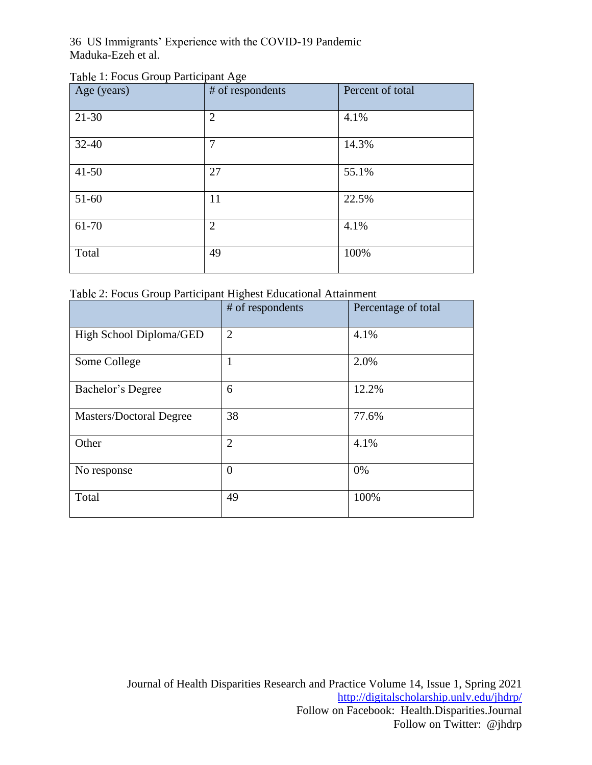| Table 1: Focus Group Participant Age |  |  |  |  |  |
|--------------------------------------|--|--|--|--|--|
|--------------------------------------|--|--|--|--|--|

| Age (years) | # of respondents | Percent of total |
|-------------|------------------|------------------|
| $21 - 30$   | $\overline{2}$   | 4.1%             |
| $32 - 40$   | $\overline{7}$   | 14.3%            |
| $41 - 50$   | 27               | 55.1%            |
| 51-60       | 11               | 22.5%            |
| 61-70       | $\overline{2}$   | 4.1%             |
| Total       | 49               | 100%             |

|  | Table 2: Focus Group Participant Highest Educational Attainment |
|--|-----------------------------------------------------------------|
|  |                                                                 |

|                         | # of respondents | Percentage of total |
|-------------------------|------------------|---------------------|
| High School Diploma/GED | $\overline{2}$   | 4.1%                |
| Some College            | 1                | 2.0%                |
| Bachelor's Degree       | 6                | 12.2%               |
| Masters/Doctoral Degree | 38               | 77.6%               |
| Other                   | $\overline{2}$   | 4.1%                |
| No response             | $\overline{0}$   | 0%                  |
| Total                   | 49               | 100%                |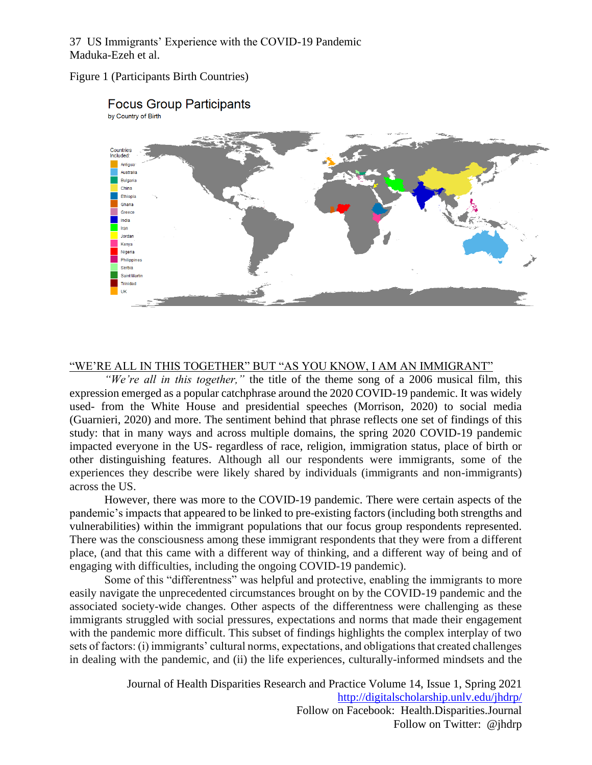#### Figure 1 (Participants Birth Countries)



### **Focus Group Participants**

#### "WE'RE ALL IN THIS TOGETHER" BUT "AS YOU KNOW, I AM AN IMMIGRANT"

*"We're all in this together,"* the title of the theme song of a 2006 musical film, this expression emerged as a popular catchphrase around the 2020 COVID-19 pandemic. It was widely used- from the White House and presidential speeches (Morrison, 2020) to social media (Guarnieri, 2020) and more. The sentiment behind that phrase reflects one set of findings of this study: that in many ways and across multiple domains, the spring 2020 COVID-19 pandemic impacted everyone in the US- regardless of race, religion, immigration status, place of birth or other distinguishing features. Although all our respondents were immigrants, some of the experiences they describe were likely shared by individuals (immigrants and non-immigrants) across the US.

However, there was more to the COVID-19 pandemic. There were certain aspects of the pandemic's impacts that appeared to be linked to pre-existing factors (including both strengths and vulnerabilities) within the immigrant populations that our focus group respondents represented. There was the consciousness among these immigrant respondents that they were from a different place, (and that this came with a different way of thinking, and a different way of being and of engaging with difficulties, including the ongoing COVID-19 pandemic).

Some of this "differentness" was helpful and protective, enabling the immigrants to more easily navigate the unprecedented circumstances brought on by the COVID-19 pandemic and the associated society-wide changes. Other aspects of the differentness were challenging as these immigrants struggled with social pressures, expectations and norms that made their engagement with the pandemic more difficult. This subset of findings highlights the complex interplay of two sets of factors: (i) immigrants' cultural norms, expectations, and obligations that created challenges in dealing with the pandemic, and (ii) the life experiences, culturally-informed mindsets and the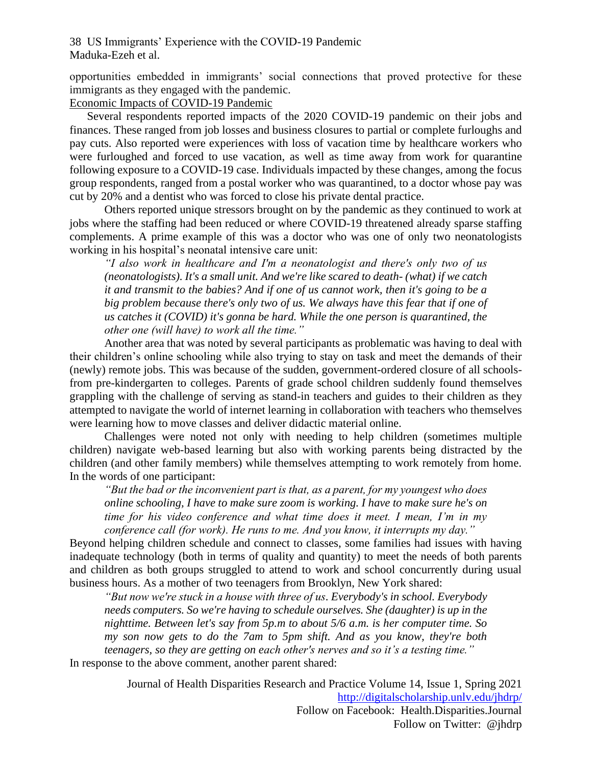opportunities embedded in immigrants' social connections that proved protective for these immigrants as they engaged with the pandemic.

#### Economic Impacts of COVID-19 Pandemic

Several respondents reported impacts of the 2020 COVID-19 pandemic on their jobs and finances. These ranged from job losses and business closures to partial or complete furloughs and pay cuts. Also reported were experiences with loss of vacation time by healthcare workers who were furloughed and forced to use vacation, as well as time away from work for quarantine following exposure to a COVID-19 case. Individuals impacted by these changes, among the focus group respondents, ranged from a postal worker who was quarantined, to a doctor whose pay was cut by 20% and a dentist who was forced to close his private dental practice.

Others reported unique stressors brought on by the pandemic as they continued to work at jobs where the staffing had been reduced or where COVID-19 threatened already sparse staffing complements. A prime example of this was a doctor who was one of only two neonatologists working in his hospital's neonatal intensive care unit:

*"I also work in healthcare and I'm a neonatologist and there's only two of us (neonatologists). It's a small unit. And we're like scared to death- (what) if we catch it and transmit to the babies? And if one of us cannot work, then it's going to be a big problem because there's only two of us. We always have this fear that if one of us catches it (COVID) it's gonna be hard. While the one person is quarantined, the other one (will have) to work all the time."*

Another area that was noted by several participants as problematic was having to deal with their children's online schooling while also trying to stay on task and meet the demands of their (newly) remote jobs. This was because of the sudden, government-ordered closure of all schoolsfrom pre-kindergarten to colleges. Parents of grade school children suddenly found themselves grappling with the challenge of serving as stand-in teachers and guides to their children as they attempted to navigate the world of internet learning in collaboration with teachers who themselves were learning how to move classes and deliver didactic material online.

Challenges were noted not only with needing to help children (sometimes multiple children) navigate web-based learning but also with working parents being distracted by the children (and other family members) while themselves attempting to work remotely from home. In the words of one participant:

*"But the bad or the inconvenient part is that, as a parent, for my youngest who does online schooling, I have to make sure zoom is working. I have to make sure he's on time for his video conference and what time does it meet. I mean, I'm in my conference call (for work). He runs to me. And you know, it interrupts my day."*

Beyond helping children schedule and connect to classes, some families had issues with having inadequate technology (both in terms of quality and quantity) to meet the needs of both parents and children as both groups struggled to attend to work and school concurrently during usual business hours. As a mother of two teenagers from Brooklyn, New York shared:

*"But now we're stuck in a house with three of us. Everybody's in school. Everybody needs computers. So we're having to schedule ourselves. She (daughter) is up in the nighttime. Between let's say from 5p.m to about 5/6 a.m. is her computer time. So my son now gets to do the 7am to 5pm shift. And as you know, they're both teenagers, so they are getting on each other's nerves and so it's a testing time."*

In response to the above comment, another parent shared: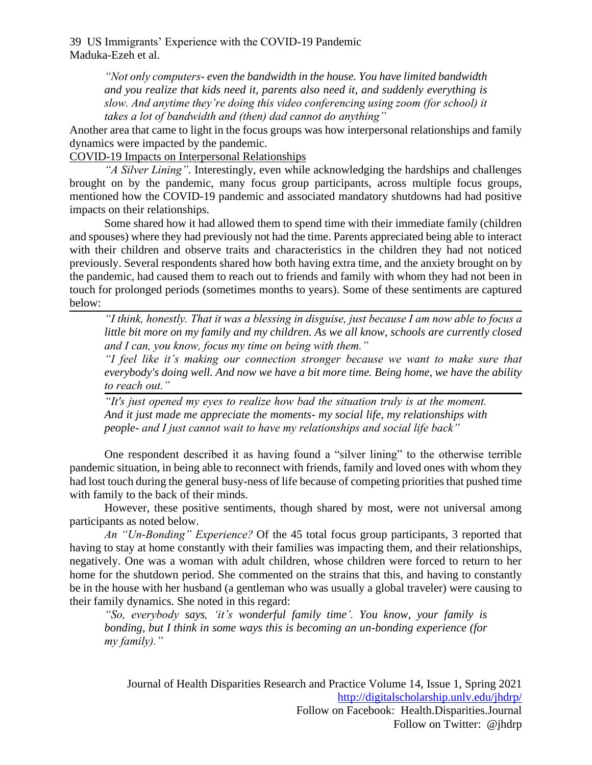> *"Not only computers- even the bandwidth in the house. You have limited bandwidth and you realize that kids need it, parents also need it, and suddenly everything is slow. And anytime they're doing this video conferencing using zoom (for school) it takes a lot of bandwidth and (then) dad cannot do anything"*

Another area that came to light in the focus groups was how interpersonal relationships and family dynamics were impacted by the pandemic.

COVID-19 Impacts on Interpersonal Relationships

*"A Silver Lining".* Interestingly, even while acknowledging the hardships and challenges brought on by the pandemic, many focus group participants, across multiple focus groups, mentioned how the COVID-19 pandemic and associated mandatory shutdowns had had positive impacts on their relationships.

Some shared how it had allowed them to spend time with their immediate family (children and spouses) where they had previously not had the time. Parents appreciated being able to interact with their children and observe traits and characteristics in the children they had not noticed previously. Several respondents shared how both having extra time, and the anxiety brought on by the pandemic, had caused them to reach out to friends and family with whom they had not been in touch for prolonged periods (sometimes months to years). Some of these sentiments are captured below:

*"I think, honestly. That it was a blessing in disguise, just because I am now able to focus a little bit more on my family and my children. As we all know, schools are currently closed and I can, you know, focus my time on being with them."* 

*"I feel like it's making our connection stronger because we want to make sure that everybody's doing well. And now we have a bit more time. Being home, we have the ability to reach out."*

*"It's just opened my eyes to realize how bad the situation truly is at the moment. And it just made me appreciate the moments- my social life, my relationships with people- and I just cannot wait to have my relationships and social life back"* 

One respondent described it as having found a "silver lining" to the otherwise terrible pandemic situation, in being able to reconnect with friends, family and loved ones with whom they had lost touch during the general busy-ness of life because of competing priorities that pushed time with family to the back of their minds.

However, these positive sentiments, though shared by most, were not universal among participants as noted below.

*An "Un-Bonding" Experience?* Of the 45 total focus group participants, 3 reported that having to stay at home constantly with their families was impacting them, and their relationships, negatively. One was a woman with adult children, whose children were forced to return to her home for the shutdown period. She commented on the strains that this, and having to constantly be in the house with her husband (a gentleman who was usually a global traveler) were causing to their family dynamics. She noted in this regard:

*"So, everybody says, 'it's wonderful family time'. You know, your family is bonding, but I think in some ways this is becoming an un-bonding experience (for my family)."*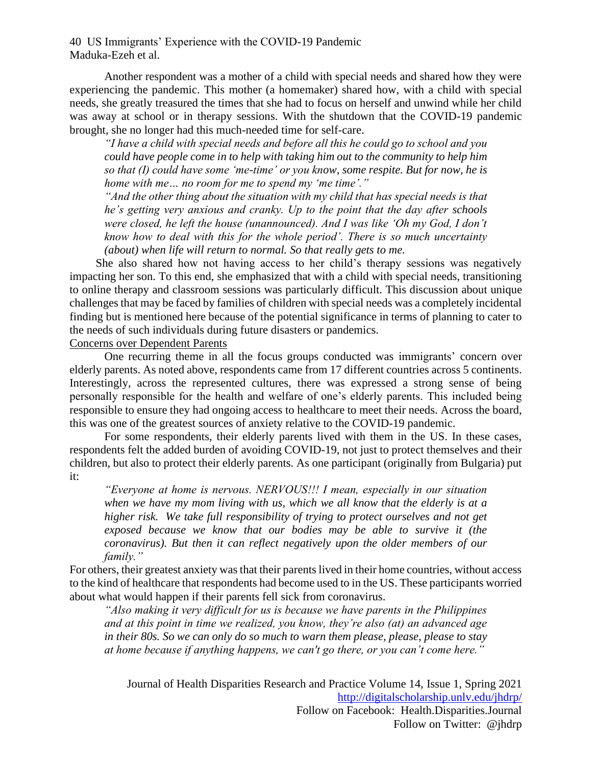Another respondent was a mother of a child with special needs and shared how they were experiencing the pandemic. This mother (a homemaker) shared how, with a child with special needs, she greatly treasured the times that she had to focus on herself and unwind while her child was away at school or in therapy sessions. With the shutdown that the COVID-19 pandemic brought, she no longer had this much-needed time for self-care.

*"I have a child with special needs and before all this he could go to school and you could have people come in to help with taking him out to the community to help him so that (I) could have some 'me-time' or you know, some respite. But for now, he is home with me… no room for me to spend my 'me time'."*

*"And the other thing about the situation with my child that has special needs is that he's getting very anxious and cranky. Up to the point that the day after schools were closed, he left the house (unannounced). And I was like 'Oh my God, I don't know how to deal with this for the whole period'. There is so much uncertainty (about) when life will return to normal. So that really gets to me.*

She also shared how not having access to her child's therapy sessions was negatively impacting her son. To this end, she emphasized that with a child with special needs, transitioning to online therapy and classroom sessions was particularly difficult. This discussion about unique challenges that may be faced by families of children with special needs was a completely incidental finding but is mentioned here because of the potential significance in terms of planning to cater to the needs of such individuals during future disasters or pandemics.

#### Concerns over Dependent Parents

One recurring theme in all the focus groups conducted was immigrants' concern over elderly parents. As noted above, respondents came from 17 different countries across 5 continents. Interestingly, across the represented cultures, there was expressed a strong sense of being personally responsible for the health and welfare of one's elderly parents. This included being responsible to ensure they had ongoing access to healthcare to meet their needs. Across the board, this was one of the greatest sources of anxiety relative to the COVID-19 pandemic.

For some respondents, their elderly parents lived with them in the US. In these cases, respondents felt the added burden of avoiding COVID-19, not just to protect themselves and their children, but also to protect their elderly parents. As one participant (originally from Bulgaria) put it:

*"Everyone at home is nervous. NERVOUS!!! I mean, especially in our situation when we have my mom living with us, which we all know that the elderly is at a higher risk. We take full responsibility of trying to protect ourselves and not get exposed because we know that our bodies may be able to survive it (the coronavirus). But then it can reflect negatively upon the older members of our family."*

For others, their greatest anxiety was that their parents lived in their home countries, without access to the kind of healthcare that respondents had become used to in the US. These participants worried about what would happen if their parents fell sick from coronavirus.

*"Also making it very difficult for us is because we have parents in the Philippines and at this point in time we realized, you know, they're also (at) an advanced age in their 80s. So we can only do so much to warn them please, please, please to stay at home because if anything happens, we can't go there, or you can't come here."*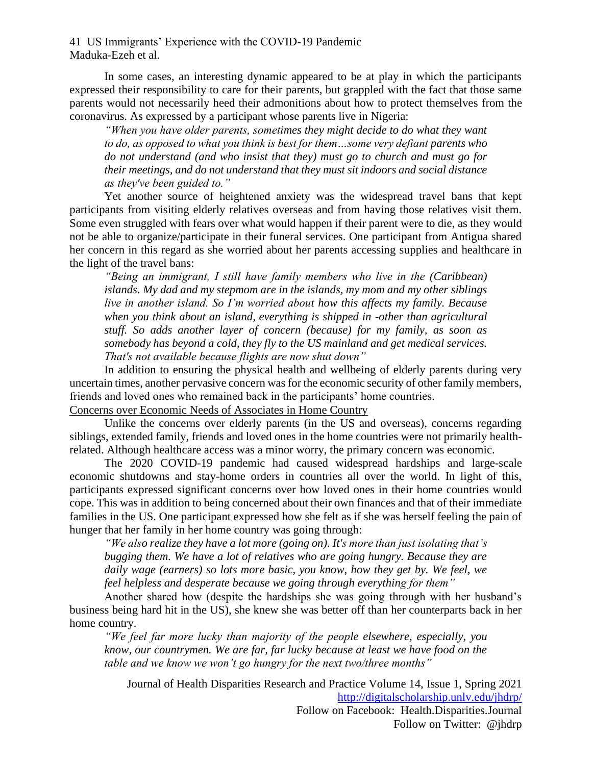In some cases, an interesting dynamic appeared to be at play in which the participants expressed their responsibility to care for their parents, but grappled with the fact that those same parents would not necessarily heed their admonitions about how to protect themselves from the coronavirus. As expressed by a participant whose parents live in Nigeria:

*"When you have older parents, sometimes they might decide to do what they want to do, as opposed to what you think is best for them…some very defiant parents who do not understand (and who insist that they) must go to church and must go for their meetings, and do not understand that they must sit indoors and social distance as they've been guided to."*

Yet another source of heightened anxiety was the widespread travel bans that kept participants from visiting elderly relatives overseas and from having those relatives visit them. Some even struggled with fears over what would happen if their parent were to die, as they would not be able to organize/participate in their funeral services. One participant from Antigua shared her concern in this regard as she worried about her parents accessing supplies and healthcare in the light of the travel bans:

*"Being an immigrant, I still have family members who live in the (Caribbean) islands. My dad and my stepmom are in the islands, my mom and my other siblings live in another island. So I'm worried about how this affects my family. Because*  when you think about an *island, everything is shipped in -other than agricultural stuff. So adds another layer of concern (because) for my family, as soon as somebody has beyond a cold, they fly to the US mainland and get medical services. That's not available because flights are now shut down"*

In addition to ensuring the physical health and wellbeing of elderly parents during very uncertain times, another pervasive concern was for the economic security of other family members, friends and loved ones who remained back in the participants' home countries. Concerns over Economic Needs of Associates in Home Country

Unlike the concerns over elderly parents (in the US and overseas), concerns regarding siblings, extended family, friends and loved ones in the home countries were not primarily healthrelated. Although healthcare access was a minor worry, the primary concern was economic.

The 2020 COVID-19 pandemic had caused widespread hardships and large-scale economic shutdowns and stay-home orders in countries all over the world. In light of this, participants expressed significant concerns over how loved ones in their home countries would cope. This was in addition to being concerned about their own finances and that of their immediate families in the US. One participant expressed how she felt as if she was herself feeling the pain of hunger that her family in her home country was going through:

*"We also realize they have a lot more (going on). It's more than just isolating that's bugging them. We have a lot of relatives who are going hungry. Because they are daily wage (earners) so lots more basic, you know, how they get by. We feel, we feel helpless and desperate because we going through everything for them"*

Another shared how (despite the hardships she was going through with her husband's business being hard hit in the US), she knew she was better off than her counterparts back in her home country.

*"We feel far more lucky than majority of the people elsewhere, especially, you know, our countrymen. We are far, far lucky because at least we have food on the table and we know we won't go hungry for the next two/three months"*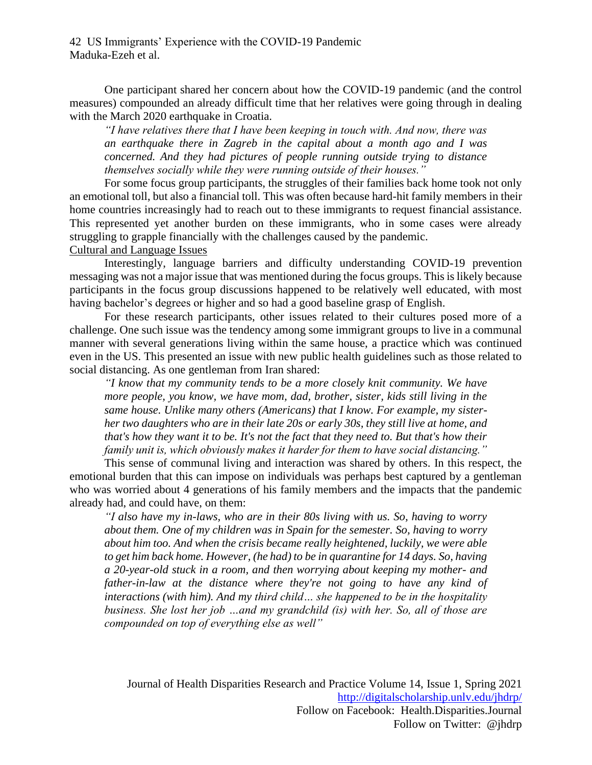One participant shared her concern about how the COVID-19 pandemic (and the control measures) compounded an already difficult time that her relatives were going through in dealing with the March 2020 earthquake in Croatia.

*"I have relatives there that I have been keeping in touch with. And now, there was an earthquake there in Zagreb in the capital about a month ago and I was concerned. And they had pictures of people running outside trying to distance themselves socially while they were running outside of their houses."*

For some focus group participants, the struggles of their families back home took not only an emotional toll, but also a financial toll. This was often because hard-hit family members in their home countries increasingly had to reach out to these immigrants to request financial assistance. This represented yet another burden on these immigrants, who in some cases were already struggling to grapple financially with the challenges caused by the pandemic. Cultural and Language Issues

Interestingly, language barriers and difficulty understanding COVID-19 prevention messaging was not a major issue that was mentioned during the focus groups. This is likely because participants in the focus group discussions happened to be relatively well educated, with most having bachelor's degrees or higher and so had a good baseline grasp of English.

For these research participants, other issues related to their cultures posed more of a challenge. One such issue was the tendency among some immigrant groups to live in a communal manner with several generations living within the same house, a practice which was continued even in the US. This presented an issue with new public health guidelines such as those related to social distancing. As one gentleman from Iran shared:

*"I know that my community tends to be a more closely knit community. We have more people, you know, we have mom, dad, brother, sister, kids still living in the same house. Unlike many others (Americans) that I know. For example, my sisterher two daughters who are in their late 20s or early 30s, they still live at home, and that's how they want it to be. It's not the fact that they need to. But that's how their family unit is, which obviously makes it harder for them to have social distancing."*

This sense of communal living and interaction was shared by others. In this respect, the emotional burden that this can impose on individuals was perhaps best captured by a gentleman who was worried about 4 generations of his family members and the impacts that the pandemic already had, and could have, on them:

*"I also have my in-laws, who are in their 80s living with us. So, having to worry about them. One of my children was in Spain for the semester. So, having to worry about him too. And when the crisis became really heightened, luckily, we were able to get him back home. However, (he had) to be in quarantine for 14 days. So, having a 20-year-old stuck in a room, and then worrying about keeping my mother- and father-in-law at the distance where they're not going to have any kind of interactions (with him). And my third child… she happened to be in the hospitality business. She lost her job …and my grandchild (is) with her. So, all of those are compounded on top of everything else as well"*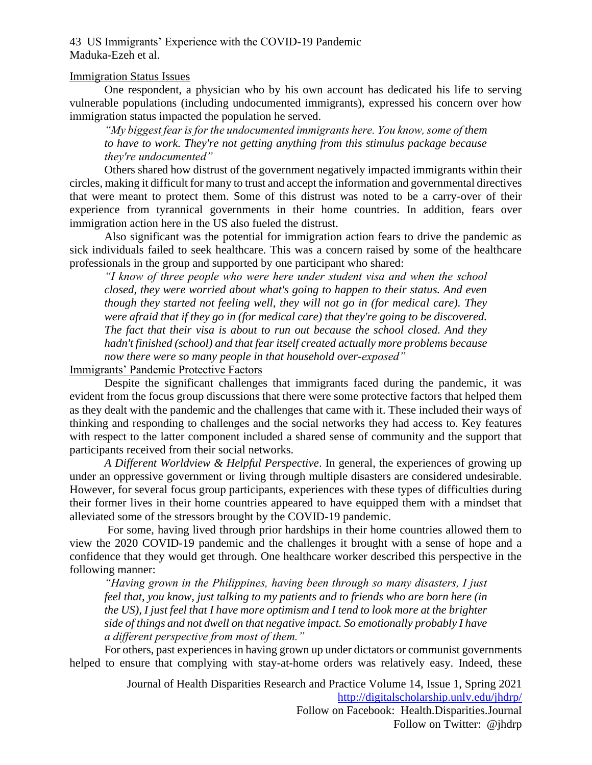#### Immigration Status Issues

One respondent, a physician who by his own account has dedicated his life to serving vulnerable populations (including undocumented immigrants), expressed his concern over how immigration status impacted the population he served.

*"My biggest fear is for the undocumented immigrants here. You know, some of them to have to work. They're not getting anything from this stimulus package because they're undocumented"*

Others shared how distrust of the government negatively impacted immigrants within their circles, making it difficult for many to trust and accept the information and governmental directives that were meant to protect them. Some of this distrust was noted to be a carry-over of their experience from tyrannical governments in their home countries. In addition, fears over immigration action here in the US also fueled the distrust.

Also significant was the potential for immigration action fears to drive the pandemic as sick individuals failed to seek healthcare. This was a concern raised by some of the healthcare professionals in the group and supported by one participant who shared:

*"I know of three people who were here under student visa and when the school closed, they were worried about what's going to happen to their status. And even though they started not feeling well, they will not go in (for medical care). They were afraid that if they go in (for medical care) that they're going to be discovered. The fact that their visa is about to run out because the school closed. And they hadn't finished (school) and that fear itself created actually more problems because now there were so many people in that household over-exposed"*

Immigrants' Pandemic Protective Factors

Despite the significant challenges that immigrants faced during the pandemic, it was evident from the focus group discussions that there were some protective factors that helped them as they dealt with the pandemic and the challenges that came with it. These included their ways of thinking and responding to challenges and the social networks they had access to. Key features with respect to the latter component included a shared sense of community and the support that participants received from their social networks.

*A Different Worldview & Helpful Perspective*. In general, the experiences of growing up under an oppressive government or living through multiple disasters are considered undesirable. However, for several focus group participants, experiences with these types of difficulties during their former lives in their home countries appeared to have equipped them with a mindset that alleviated some of the stressors brought by the COVID-19 pandemic.

For some, having lived through prior hardships in their home countries allowed them to view the 2020 COVID-19 pandemic and the challenges it brought with a sense of hope and a confidence that they would get through. One healthcare worker described this perspective in the following manner:

*"Having grown in the Philippines, having been through so many disasters, I just feel that, you know, just talking to my patients and to friends who are born here (in the US), I just feel that I have more optimism and I tend to look more at the brighter side of things and not dwell on that negative impact. So emotionally probably I have a different perspective from most of them."*

For others, past experiences in having grown up under dictators or communist governments helped to ensure that complying with stay-at-home orders was relatively easy. Indeed, these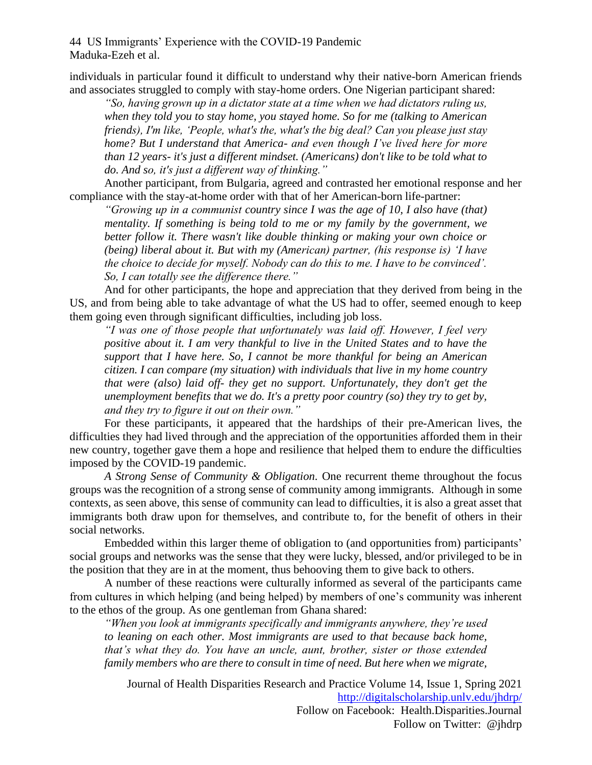individuals in particular found it difficult to understand why their native-born American friends and associates struggled to comply with stay-home orders. One Nigerian participant shared:

*"So, having grown up in a dictator state at a time when we had dictators ruling us, when they told you to stay home, you stayed home. So for me (talking to American friends), I'm like, 'People, what's the, what's the big deal? Can you please just stay home? But I understand that America- and even though I've lived here for more than 12 years- it's just a different mindset. (Americans) don't like to be told what to do. And so, it's just a different way of thinking."* 

Another participant, from Bulgaria, agreed and contrasted her emotional response and her compliance with the stay-at-home order with that of her American-born life-partner:

*"Growing up in a communist country since I was the age of 10, I also have (that) mentality. If something is being told to me or my family by the government, we better follow it. There wasn't like double thinking or making your own choice or (being) liberal about it. But with my (American) partner, (his response is) 'I have the choice to decide for myself. Nobody can do this to me. I have to be convinced'. So, I can totally see the difference there."*

And for other participants, the hope and appreciation that they derived from being in the US, and from being able to take advantage of what the US had to offer, seemed enough to keep them going even through significant difficulties, including job loss.

*"I was one of those people that unfortunately was laid off. However, I feel very positive about it. I am very thankful to live in the United States and to have the support that I have here. So, I cannot be more thankful for being an American citizen. I can compare (my situation) with individuals that live in my home country that were (also) laid off- they get no support. Unfortunately, they don't get the unemployment benefits that we do. It's a pretty poor country (so) they try to get by, and they try to figure it out on their own."*

For these participants, it appeared that the hardships of their pre-American lives, the difficulties they had lived through and the appreciation of the opportunities afforded them in their new country, together gave them a hope and resilience that helped them to endure the difficulties imposed by the COVID-19 pandemic.

*A Strong Sense of Community & Obligation.* One recurrent theme throughout the focus groups was the recognition of a strong sense of community among immigrants. Although in some contexts, as seen above, this sense of community can lead to difficulties, it is also a great asset that immigrants both draw upon for themselves, and contribute to, for the benefit of others in their social networks.

Embedded within this larger theme of obligation to (and opportunities from) participants' social groups and networks was the sense that they were lucky, blessed, and/or privileged to be in the position that they are in at the moment, thus behooving them to give back to others.

A number of these reactions were culturally informed as several of the participants came from cultures in which helping (and being helped) by members of one's community was inherent to the ethos of the group. As one gentleman from Ghana shared:

*"When you look at immigrants specifically and immigrants anywhere, they're used to leaning on each other. Most immigrants are used to that because back home, that's what they do. You have an uncle, aunt, brother, sister or those extended family members who are there to consult in time of need. But here when we migrate,*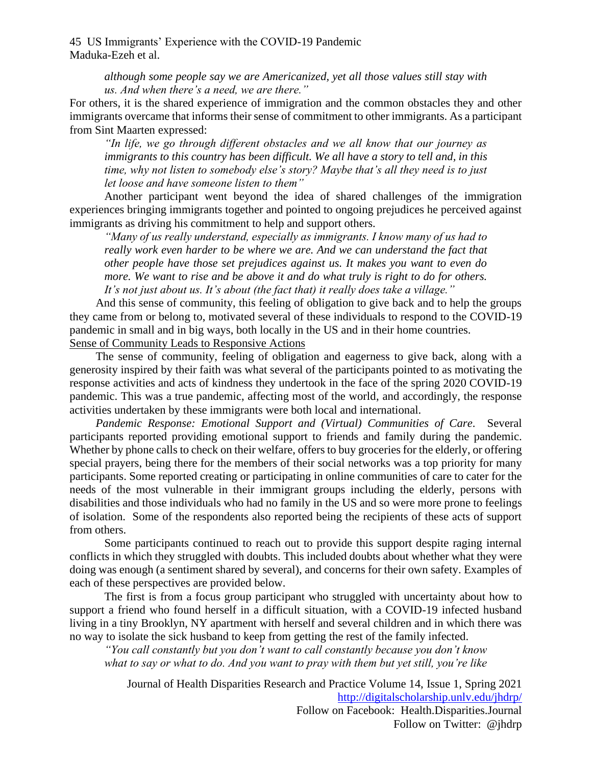> *although some people say we are Americanized, yet all those values still stay with us. And when there's a need, we are there."*

For others, it is the shared experience of immigration and the common obstacles they and other immigrants overcame that informs their sense of commitment to other immigrants. As a participant from Sint Maarten expressed:

*"In life, we go through different obstacles and we all know that our journey as immigrants to this country has been difficult. We all have a story to tell and, in this time, why not listen to somebody else's story? Maybe that's all they need is to just let loose and have someone listen to them"*

Another participant went beyond the idea of shared challenges of the immigration experiences bringing immigrants together and pointed to ongoing prejudices he perceived against immigrants as driving his commitment to help and support others.

*"Many of us really understand, especially as immigrants. I know many of us had to*  really work even harder to be where we are. And we can understand the fact that *other people have those set prejudices against us. It makes you want to even do more. We want to rise and be above it and do what truly is right to do for others. It's not just about us. It's about (the fact that) it really does take a village."*

And this sense of community, this feeling of obligation to give back and to help the groups they came from or belong to, motivated several of these individuals to respond to the COVID-19 pandemic in small and in big ways, both locally in the US and in their home countries. Sense of Community Leads to Responsive Actions

The sense of community, feeling of obligation and eagerness to give back, along with a generosity inspired by their faith was what several of the participants pointed to as motivating the response activities and acts of kindness they undertook in the face of the spring 2020 COVID-19 pandemic. This was a true pandemic, affecting most of the world, and accordingly, the response activities undertaken by these immigrants were both local and international.

*Pandemic Response: Emotional Support and (Virtual) Communities of Care.* Several participants reported providing emotional support to friends and family during the pandemic. Whether by phone calls to check on their welfare, offers to buy groceries for the elderly, or offering special prayers, being there for the members of their social networks was a top priority for many participants. Some reported creating or participating in online communities of care to cater for the needs of the most vulnerable in their immigrant groups including the elderly, persons with disabilities and those individuals who had no family in the US and so were more prone to feelings of isolation. Some of the respondents also reported being the recipients of these acts of support from others.

Some participants continued to reach out to provide this support despite raging internal conflicts in which they struggled with doubts. This included doubts about whether what they were doing was enough (a sentiment shared by several), and concerns for their own safety. Examples of each of these perspectives are provided below.

The first is from a focus group participant who struggled with uncertainty about how to support a friend who found herself in a difficult situation, with a COVID-19 infected husband living in a tiny Brooklyn, NY apartment with herself and several children and in which there was no way to isolate the sick husband to keep from getting the rest of the family infected.

*"You call constantly but you don't want to call constantly because you don't know what to say or what to do. And you want to pray with them but yet still, you're like*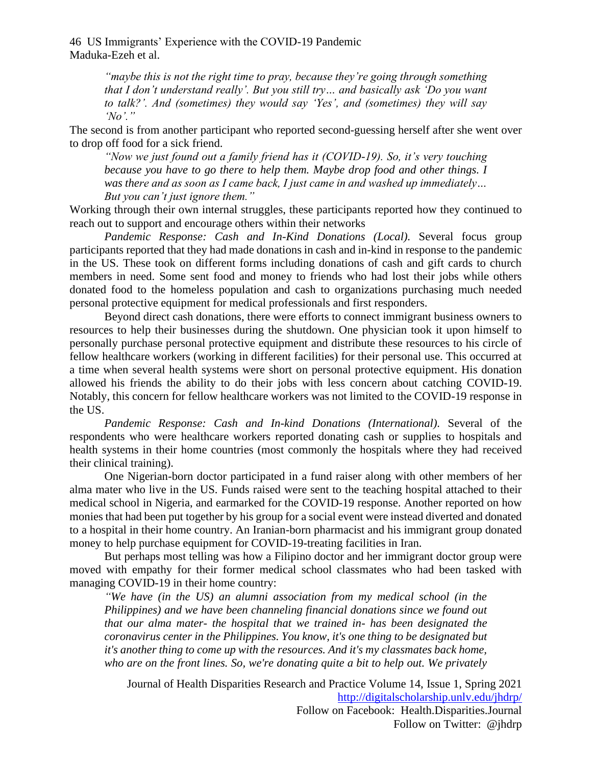> *"maybe this is not the right time to pray, because they're going through something that I don't understand really'. But you still try… and basically ask 'Do you want to talk?'. And (sometimes) they would say 'Yes', and (sometimes) they will say 'No'."*

The second is from another participant who reported second-guessing herself after she went over to drop off food for a sick friend.

*"Now we just found out a family friend has it (COVID-19). So, it's very touching because you have to go there to help them. Maybe drop food and other things. I was there and as soon as I came back, I just came in and washed up immediately… But you can't just ignore them."*

Working through their own internal struggles, these participants reported how they continued to reach out to support and encourage others within their networks

*Pandemic Response: Cash and In-Kind Donations (Local).* Several focus group participants reported that they had made donations in cash and in-kind in response to the pandemic in the US. These took on different forms including donations of cash and gift cards to church members in need. Some sent food and money to friends who had lost their jobs while others donated food to the homeless population and cash to organizations purchasing much needed personal protective equipment for medical professionals and first responders.

Beyond direct cash donations, there were efforts to connect immigrant business owners to resources to help their businesses during the shutdown. One physician took it upon himself to personally purchase personal protective equipment and distribute these resources to his circle of fellow healthcare workers (working in different facilities) for their personal use. This occurred at a time when several health systems were short on personal protective equipment. His donation allowed his friends the ability to do their jobs with less concern about catching COVID-19. Notably, this concern for fellow healthcare workers was not limited to the COVID-19 response in the US.

*Pandemic Response: Cash and In-kind Donations (International).* Several of the respondents who were healthcare workers reported donating cash or supplies to hospitals and health systems in their home countries (most commonly the hospitals where they had received their clinical training).

One Nigerian-born doctor participated in a fund raiser along with other members of her alma mater who live in the US. Funds raised were sent to the teaching hospital attached to their medical school in Nigeria, and earmarked for the COVID-19 response. Another reported on how monies that had been put together by his group for a social event were instead diverted and donated to a hospital in their home country. An Iranian-born pharmacist and his immigrant group donated money to help purchase equipment for COVID-19-treating facilities in Iran.

But perhaps most telling was how a Filipino doctor and her immigrant doctor group were moved with empathy for their former medical school classmates who had been tasked with managing COVID-19 in their home country:

*"We have (in the US) an alumni association from my medical school (in the Philippines) and we have been channeling financial donations since we found out that our alma mater- the hospital that we trained in- has been designated the coronavirus center in the Philippines. You know, it's one thing to be designated but it's another thing to come up with the resources. And it's my classmates back home, who are on the front lines. So, we're donating quite a bit to help out. We privately*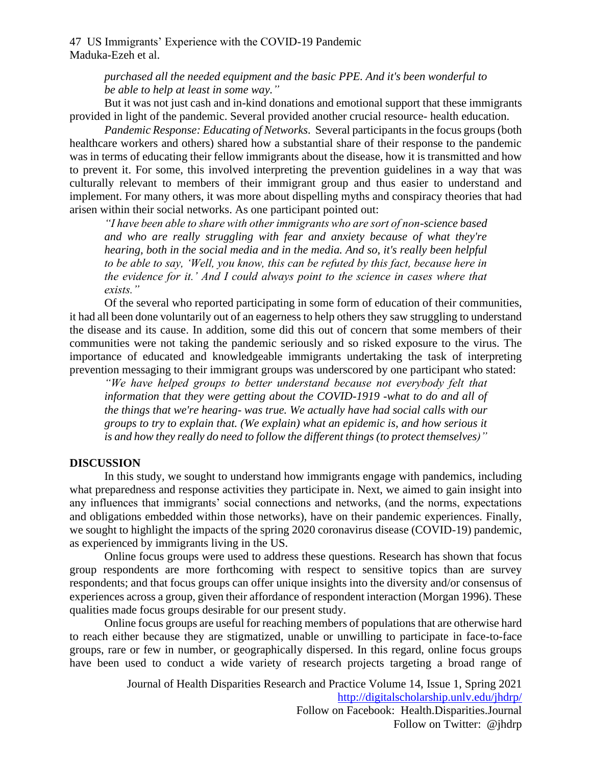> *purchased all the needed equipment and the basic PPE. And it's been wonderful to be able to help at least in some way."*

But it was not just cash and in-kind donations and emotional support that these immigrants provided in light of the pandemic. Several provided another crucial resource- health education.

*Pandemic Response: Educating of Networks.* Several participants in the focus groups (both healthcare workers and others) shared how a substantial share of their response to the pandemic was in terms of educating their fellow immigrants about the disease, how it is transmitted and how to prevent it. For some, this involved interpreting the prevention guidelines in a way that was culturally relevant to members of their immigrant group and thus easier to understand and implement. For many others, it was more about dispelling myths and conspiracy theories that had arisen within their social networks. As one participant pointed out:

*"I have been able to share with other immigrants who are sort of non-science based and who are really struggling with fear and anxiety because of what they're hearing, both in the social media and in the media. And so, it's really been helpful to be able to say, 'Well, you know, this can be refuted by this fact, because here in the evidence for it.' And I could always point to the science in cases where that exists."*

Of the several who reported participating in some form of education of their communities, it had all been done voluntarily out of an eagerness to help others they saw struggling to understand the disease and its cause. In addition, some did this out of concern that some members of their communities were not taking the pandemic seriously and so risked exposure to the virus. The importance of educated and knowledgeable immigrants undertaking the task of interpreting prevention messaging to their immigrant groups was underscored by one participant who stated:

*"We have helped groups to better understand because not everybody felt that information that they were getting about the COVID-1919 -what to do and all of the things that we're hearing- was true. We actually have had social calls with our groups to try to explain that. (We explain) what an epidemic is, and how serious it is and how they really do need to follow the different things (to protect themselves)"*

#### **DISCUSSION**

In this study, we sought to understand how immigrants engage with pandemics, including what preparedness and response activities they participate in. Next, we aimed to gain insight into any influences that immigrants' social connections and networks, (and the norms, expectations and obligations embedded within those networks), have on their pandemic experiences. Finally, we sought to highlight the impacts of the spring 2020 coronavirus disease (COVID-19) pandemic, as experienced by immigrants living in the US.

Online focus groups were used to address these questions. Research has shown that focus group respondents are more forthcoming with respect to sensitive topics than are survey respondents; and that focus groups can offer unique insights into the diversity and/or consensus of experiences across a group, given their affordance of respondent interaction (Morgan 1996). These qualities made focus groups desirable for our present study.

Online focus groups are useful for reaching members of populations that are otherwise hard to reach either because they are stigmatized, unable or unwilling to participate in face-to-face groups, rare or few in number, or geographically dispersed. In this regard, online focus groups have been used to conduct a wide variety of research projects targeting a broad range of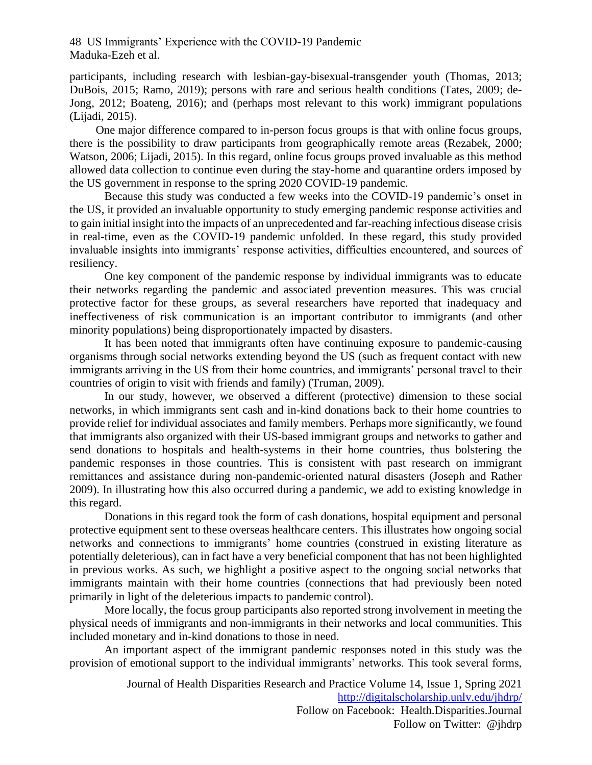participants, including research with lesbian-gay-bisexual-transgender youth (Thomas, 2013; DuBois, 2015; Ramo, 2019); persons with rare and serious health conditions (Tates, 2009; de-Jong, 2012; Boateng, 2016); and (perhaps most relevant to this work) immigrant populations (Lijadi, 2015).

One major difference compared to in-person focus groups is that with online focus groups, there is the possibility to draw participants from geographically remote areas (Rezabek, 2000; Watson, 2006; Lijadi, 2015). In this regard, online focus groups proved invaluable as this method allowed data collection to continue even during the stay-home and quarantine orders imposed by the US government in response to the spring 2020 COVID-19 pandemic.

Because this study was conducted a few weeks into the COVID-19 pandemic's onset in the US, it provided an invaluable opportunity to study emerging pandemic response activities and to gain initial insight into the impacts of an unprecedented and far-reaching infectious disease crisis in real-time, even as the COVID-19 pandemic unfolded. In these regard, this study provided invaluable insights into immigrants' response activities, difficulties encountered, and sources of resiliency.

One key component of the pandemic response by individual immigrants was to educate their networks regarding the pandemic and associated prevention measures. This was crucial protective factor for these groups, as several researchers have reported that inadequacy and ineffectiveness of risk communication is an important contributor to immigrants (and other minority populations) being disproportionately impacted by disasters.

It has been noted that immigrants often have continuing exposure to pandemic-causing organisms through social networks extending beyond the US (such as frequent contact with new immigrants arriving in the US from their home countries, and immigrants' personal travel to their countries of origin to visit with friends and family) (Truman, 2009).

In our study, however, we observed a different (protective) dimension to these social networks, in which immigrants sent cash and in-kind donations back to their home countries to provide relief for individual associates and family members. Perhaps more significantly, we found that immigrants also organized with their US-based immigrant groups and networks to gather and send donations to hospitals and health-systems in their home countries, thus bolstering the pandemic responses in those countries. This is consistent with past research on immigrant remittances and assistance during non-pandemic-oriented natural disasters (Joseph and Rather 2009). In illustrating how this also occurred during a pandemic, we add to existing knowledge in this regard.

Donations in this regard took the form of cash donations, hospital equipment and personal protective equipment sent to these overseas healthcare centers. This illustrates how ongoing social networks and connections to immigrants' home countries (construed in existing literature as potentially deleterious), can in fact have a very beneficial component that has not been highlighted in previous works. As such, we highlight a positive aspect to the ongoing social networks that immigrants maintain with their home countries (connections that had previously been noted primarily in light of the deleterious impacts to pandemic control).

More locally, the focus group participants also reported strong involvement in meeting the physical needs of immigrants and non-immigrants in their networks and local communities. This included monetary and in-kind donations to those in need.

An important aspect of the immigrant pandemic responses noted in this study was the provision of emotional support to the individual immigrants' networks. This took several forms,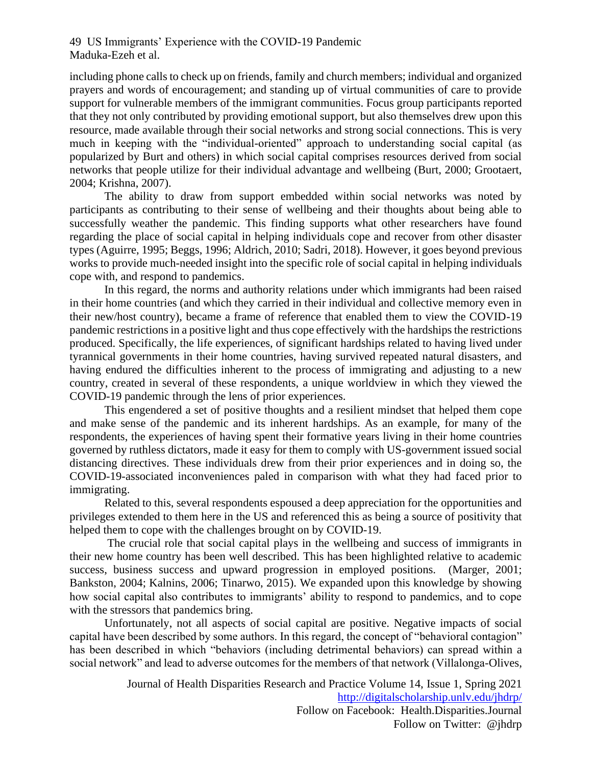including phone calls to check up on friends, family and church members; individual and organized prayers and words of encouragement; and standing up of virtual communities of care to provide support for vulnerable members of the immigrant communities. Focus group participants reported that they not only contributed by providing emotional support, but also themselves drew upon this resource, made available through their social networks and strong social connections. This is very much in keeping with the "individual-oriented" approach to understanding social capital (as popularized by Burt and others) in which social capital comprises resources derived from social networks that people utilize for their individual advantage and wellbeing (Burt, 2000; Grootaert, 2004; Krishna, 2007).

The ability to draw from support embedded within social networks was noted by participants as contributing to their sense of wellbeing and their thoughts about being able to successfully weather the pandemic. This finding supports what other researchers have found regarding the place of social capital in helping individuals cope and recover from other disaster types (Aguirre, 1995; Beggs, 1996; Aldrich, 2010; Sadri, 2018). However, it goes beyond previous works to provide much-needed insight into the specific role of social capital in helping individuals cope with, and respond to pandemics.

In this regard, the norms and authority relations under which immigrants had been raised in their home countries (and which they carried in their individual and collective memory even in their new/host country), became a frame of reference that enabled them to view the COVID-19 pandemic restrictions in a positive light and thus cope effectively with the hardships the restrictions produced. Specifically, the life experiences, of significant hardships related to having lived under tyrannical governments in their home countries, having survived repeated natural disasters, and having endured the difficulties inherent to the process of immigrating and adjusting to a new country, created in several of these respondents, a unique worldview in which they viewed the COVID-19 pandemic through the lens of prior experiences.

This engendered a set of positive thoughts and a resilient mindset that helped them cope and make sense of the pandemic and its inherent hardships. As an example, for many of the respondents, the experiences of having spent their formative years living in their home countries governed by ruthless dictators, made it easy for them to comply with US-government issued social distancing directives. These individuals drew from their prior experiences and in doing so, the COVID-19-associated inconveniences paled in comparison with what they had faced prior to immigrating.

Related to this, several respondents espoused a deep appreciation for the opportunities and privileges extended to them here in the US and referenced this as being a source of positivity that helped them to cope with the challenges brought on by COVID-19.

The crucial role that social capital plays in the wellbeing and success of immigrants in their new home country has been well described. This has been highlighted relative to academic success, business success and upward progression in employed positions. (Marger, 2001; Bankston, 2004; Kalnins, 2006; Tinarwo, 2015). We expanded upon this knowledge by showing how social capital also contributes to immigrants' ability to respond to pandemics, and to cope with the stressors that pandemics bring.

Unfortunately, not all aspects of social capital are positive. Negative impacts of social capital have been described by some authors. In this regard, the concept of "behavioral contagion" has been described in which "behaviors (including detrimental behaviors) can spread within a social network" and lead to adverse outcomes for the members of that network (Villalonga-Olives,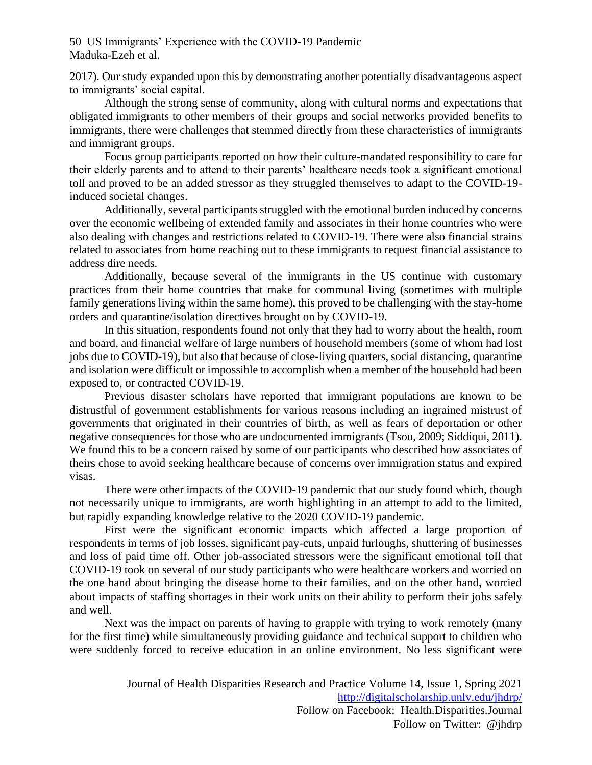2017). Our study expanded upon this by demonstrating another potentially disadvantageous aspect to immigrants' social capital.

Although the strong sense of community, along with cultural norms and expectations that obligated immigrants to other members of their groups and social networks provided benefits to immigrants, there were challenges that stemmed directly from these characteristics of immigrants and immigrant groups.

Focus group participants reported on how their culture-mandated responsibility to care for their elderly parents and to attend to their parents' healthcare needs took a significant emotional toll and proved to be an added stressor as they struggled themselves to adapt to the COVID-19 induced societal changes.

Additionally, several participants struggled with the emotional burden induced by concerns over the economic wellbeing of extended family and associates in their home countries who were also dealing with changes and restrictions related to COVID-19. There were also financial strains related to associates from home reaching out to these immigrants to request financial assistance to address dire needs.

Additionally, because several of the immigrants in the US continue with customary practices from their home countries that make for communal living (sometimes with multiple family generations living within the same home), this proved to be challenging with the stay-home orders and quarantine/isolation directives brought on by COVID-19.

In this situation, respondents found not only that they had to worry about the health, room and board, and financial welfare of large numbers of household members (some of whom had lost jobs due to COVID-19), but also that because of close-living quarters, social distancing, quarantine and isolation were difficult or impossible to accomplish when a member of the household had been exposed to, or contracted COVID-19.

Previous disaster scholars have reported that immigrant populations are known to be distrustful of government establishments for various reasons including an ingrained mistrust of governments that originated in their countries of birth, as well as fears of deportation or other negative consequences for those who are undocumented immigrants (Tsou, 2009; Siddiqui, 2011). We found this to be a concern raised by some of our participants who described how associates of theirs chose to avoid seeking healthcare because of concerns over immigration status and expired visas.

There were other impacts of the COVID-19 pandemic that our study found which, though not necessarily unique to immigrants, are worth highlighting in an attempt to add to the limited, but rapidly expanding knowledge relative to the 2020 COVID-19 pandemic.

First were the significant economic impacts which affected a large proportion of respondents in terms of job losses, significant pay-cuts, unpaid furloughs, shuttering of businesses and loss of paid time off. Other job-associated stressors were the significant emotional toll that COVID-19 took on several of our study participants who were healthcare workers and worried on the one hand about bringing the disease home to their families, and on the other hand, worried about impacts of staffing shortages in their work units on their ability to perform their jobs safely and well.

Next was the impact on parents of having to grapple with trying to work remotely (many for the first time) while simultaneously providing guidance and technical support to children who were suddenly forced to receive education in an online environment. No less significant were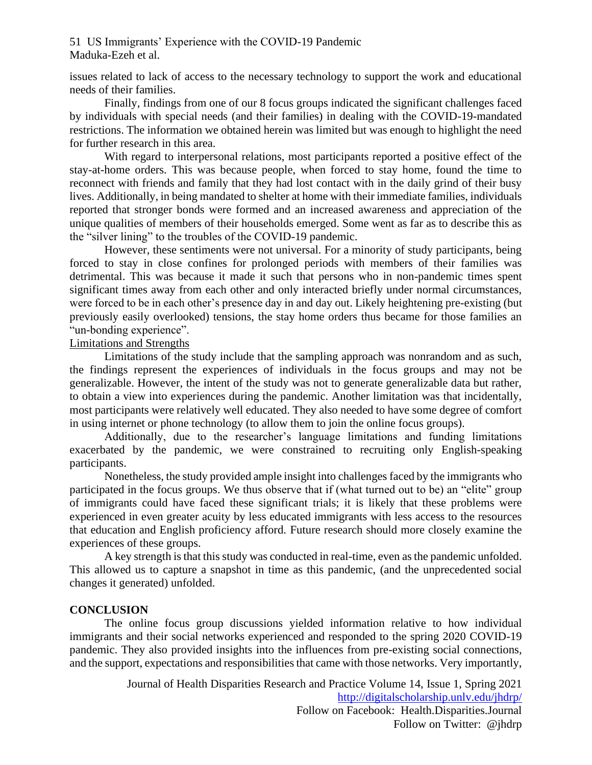issues related to lack of access to the necessary technology to support the work and educational needs of their families.

Finally, findings from one of our 8 focus groups indicated the significant challenges faced by individuals with special needs (and their families) in dealing with the COVID-19-mandated restrictions. The information we obtained herein was limited but was enough to highlight the need for further research in this area.

With regard to interpersonal relations, most participants reported a positive effect of the stay-at-home orders. This was because people, when forced to stay home, found the time to reconnect with friends and family that they had lost contact with in the daily grind of their busy lives. Additionally, in being mandated to shelter at home with their immediate families, individuals reported that stronger bonds were formed and an increased awareness and appreciation of the unique qualities of members of their households emerged. Some went as far as to describe this as the "silver lining" to the troubles of the COVID-19 pandemic.

However, these sentiments were not universal. For a minority of study participants, being forced to stay in close confines for prolonged periods with members of their families was detrimental. This was because it made it such that persons who in non-pandemic times spent significant times away from each other and only interacted briefly under normal circumstances, were forced to be in each other's presence day in and day out. Likely heightening pre-existing (but previously easily overlooked) tensions, the stay home orders thus became for those families an "un-bonding experience".

#### Limitations and Strengths

Limitations of the study include that the sampling approach was nonrandom and as such, the findings represent the experiences of individuals in the focus groups and may not be generalizable. However, the intent of the study was not to generate generalizable data but rather, to obtain a view into experiences during the pandemic. Another limitation was that incidentally, most participants were relatively well educated. They also needed to have some degree of comfort in using internet or phone technology (to allow them to join the online focus groups).

Additionally, due to the researcher's language limitations and funding limitations exacerbated by the pandemic, we were constrained to recruiting only English-speaking participants.

Nonetheless, the study provided ample insight into challenges faced by the immigrants who participated in the focus groups. We thus observe that if (what turned out to be) an "elite" group of immigrants could have faced these significant trials; it is likely that these problems were experienced in even greater acuity by less educated immigrants with less access to the resources that education and English proficiency afford. Future research should more closely examine the experiences of these groups.

A key strength is that this study was conducted in real-time, even as the pandemic unfolded. This allowed us to capture a snapshot in time as this pandemic, (and the unprecedented social changes it generated) unfolded.

#### **CONCLUSION**

The online focus group discussions yielded information relative to how individual immigrants and their social networks experienced and responded to the spring 2020 COVID-19 pandemic. They also provided insights into the influences from pre-existing social connections, and the support, expectations and responsibilities that came with those networks. Very importantly,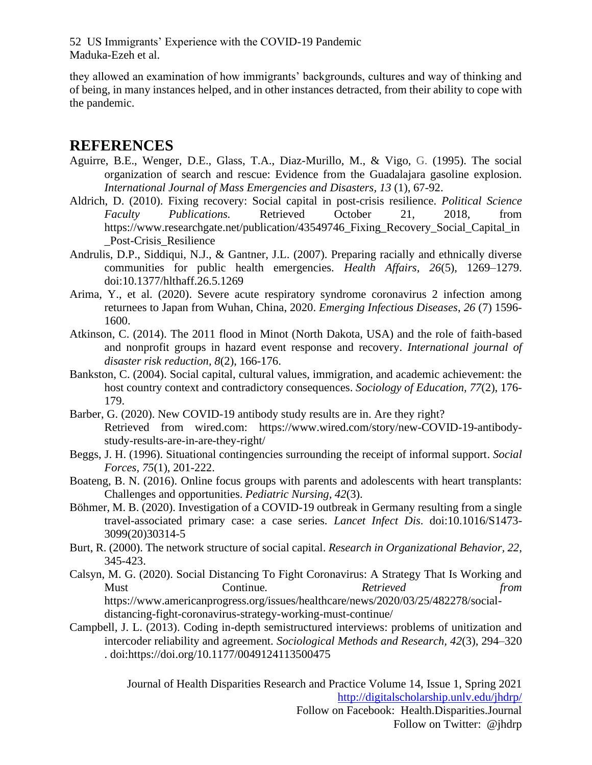they allowed an examination of how immigrants' backgrounds, cultures and way of thinking and of being, in many instances helped, and in other instances detracted, from their ability to cope with the pandemic.

### **REFERENCES**

- Aguirre, B.E., Wenger, D.E., Glass, T.A., Diaz-Murillo, M., & Vigo, G. (1995). The social organization of search and rescue: Evidence from the Guadalajara gasoline explosion. *International Journal of Mass Emergencies and Disasters, 13* (1), 67-92.
- Aldrich, D. (2010). Fixing recovery: Social capital in post-crisis resilience. *Political Science Faculty Publications.* Retrieved October 21, 2018, from https://www.researchgate.net/publication/43549746\_Fixing\_Recovery\_Social\_Capital\_in \_Post-Crisis\_Resilience
- Andrulis, D.P., Siddiqui, N.J., & Gantner, J.L. (2007). Preparing racially and ethnically diverse communities for public health emergencies. *Health Affairs, 26*(5), 1269–1279. doi:10.1377/hlthaff.26.5.1269
- Arima, Y., et al. (2020). Severe acute respiratory syndrome coronavirus 2 infection among returnees to Japan from Wuhan, China, 2020. *Emerging Infectious Diseases*, *26* (7) 1596- 1600.
- Atkinson, C. (2014). The 2011 flood in Minot (North Dakota, USA) and the role of faith-based and nonprofit groups in hazard event response and recovery. *International journal of disaster risk reduction, 8*(2), 166-176.
- Bankston, C. (2004). Social capital, cultural values, immigration, and academic achievement: the host country context and contradictory consequences. *Sociology of Education, 77*(2), 176- 179.
- Barber, G. (2020). New COVID-19 antibody study results are in. Are they right? Retrieved from wired.com: https://www.wired.com/story/new-COVID-19-antibodystudy-results-are-in-are-they-right/
- Beggs, J. H. (1996). Situational contingencies surrounding the receipt of informal support. *Social Forces, 75*(1), 201-222.
- Boateng, B. N. (2016). Online focus groups with parents and adolescents with heart transplants: Challenges and opportunities. *Pediatric Nursing, 42*(3).
- Böhmer, M. B. (2020). Investigation of a COVID-19 outbreak in Germany resulting from a single travel-associated primary case: a case series. *Lancet Infect Dis*. doi:10.1016/S1473- 3099(20)30314-5
- Burt, R. (2000). The network structure of social capital. *Research in Organizational Behavior, 22*, 345-423.
- Calsyn, M. G. (2020). Social Distancing To Fight Coronavirus: A Strategy That Is Working and Must Continue*. Retrieved from* https://www.americanprogress.org/issues/healthcare/news/2020/03/25/482278/socialdistancing-fight-coronavirus-strategy-working-must-continue/
- Campbell, J. L. (2013). Coding in-depth semistructured interviews: problems of unitization and intercoder reliability and agreement. *Sociological Methods and Research, 42*(3), 294–320 . doi:https://doi.org/10.1177/0049124113500475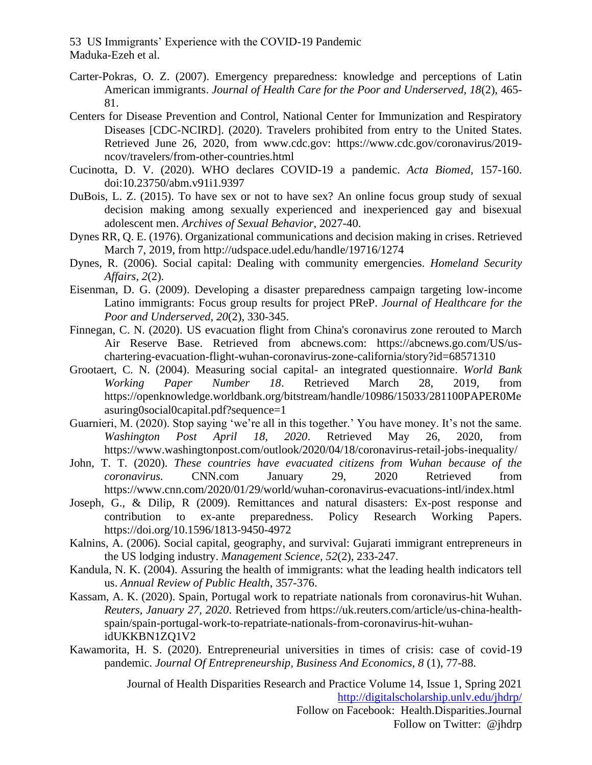- Carter-Pokras, O. Z. (2007). Emergency preparedness: knowledge and perceptions of Latin American immigrants. *Journal of Health Care for the Poor and Underserved, 18*(2), 465- 81.
- Centers for Disease Prevention and Control, National Center for Immunization and Respiratory Diseases [CDC-NCIRD]. (2020). Travelers prohibited from entry to the United States. Retrieved June 26, 2020, from www.cdc.gov: https://www.cdc.gov/coronavirus/2019 ncov/travelers/from-other-countries.html
- Cucinotta, D. V. (2020). WHO declares COVID-19 a pandemic. *Acta Biomed*, 157-160. doi:10.23750/abm.v91i1.9397
- DuBois, L. Z. (2015). To have sex or not to have sex? An online focus group study of sexual decision making among sexually experienced and inexperienced gay and bisexual adolescent men. *Archives of Sexual Behavior*, 2027-40.
- Dynes RR, Q. E. (1976). Organizational communications and decision making in crises. Retrieved March 7, 2019, from http://udspace.udel.edu/handle/19716/1274
- Dynes, R. (2006). Social capital: Dealing with community emergencies. *Homeland Security Affairs, 2*(2).
- Eisenman, D. G. (2009). Developing a disaster preparedness campaign targeting low-income Latino immigrants: Focus group results for project PReP. *Journal of Healthcare for the Poor and Underserved, 20*(2), 330-345.
- Finnegan, C. N. (2020). US evacuation flight from China's coronavirus zone rerouted to March Air Reserve Base. Retrieved from abcnews.com: https://abcnews.go.com/US/uschartering-evacuation-flight-wuhan-coronavirus-zone-california/story?id=68571310
- Grootaert, C. N. (2004). Measuring social capital- an integrated questionnaire. *World Bank Working Paper Number 18*. Retrieved March 28, 2019, from https://openknowledge.worldbank.org/bitstream/handle/10986/15033/281100PAPER0Me asuring0social0capital.pdf?sequence=1
- Guarnieri, M. (2020). Stop saying 'we're all in this together.' You have money. It's not the same. *Washington Post April 18, 2020*. Retrieved May 26, 2020, from https://www.washingtonpost.com/outlook/2020/04/18/coronavirus-retail-jobs-inequality/
- John, T. T. (2020). *These countries have evacuated citizens from Wuhan because of the coronavirus.* CNN.com January 29, 2020 Retrieved from https://www.cnn.com/2020/01/29/world/wuhan-coronavirus-evacuations-intl/index.html
- Joseph, G., & Dilip, R (2009). Remittances and natural disasters: Ex-post response and contribution to ex-ante preparedness. Policy Research Working Papers. https://doi.org/10.1596/1813-9450-4972
- Kalnins, A. (2006). Social capital, geography, and survival: Gujarati immigrant entrepreneurs in the US lodging industry. *Management Science, 52*(2), 233-247.
- Kandula, N. K. (2004). Assuring the health of immigrants: what the leading health indicators tell us. *Annual Review of Public Health*, 357-376.
- Kassam, A. K. (2020). Spain, Portugal work to repatriate nationals from coronavirus-hit Wuhan. *Reuters, January 27, 2020*. Retrieved from https://uk.reuters.com/article/us-china-healthspain/spain-portugal-work-to-repatriate-nationals-from-coronavirus-hit-wuhanidUKKBN1ZQ1V2
- Kawamorita, H. S. (2020). Entrepreneurial universities in times of crisis: case of covid-19 pandemic. *Journal Of Entrepreneurship, Business And Economics, 8* (1), 77-88.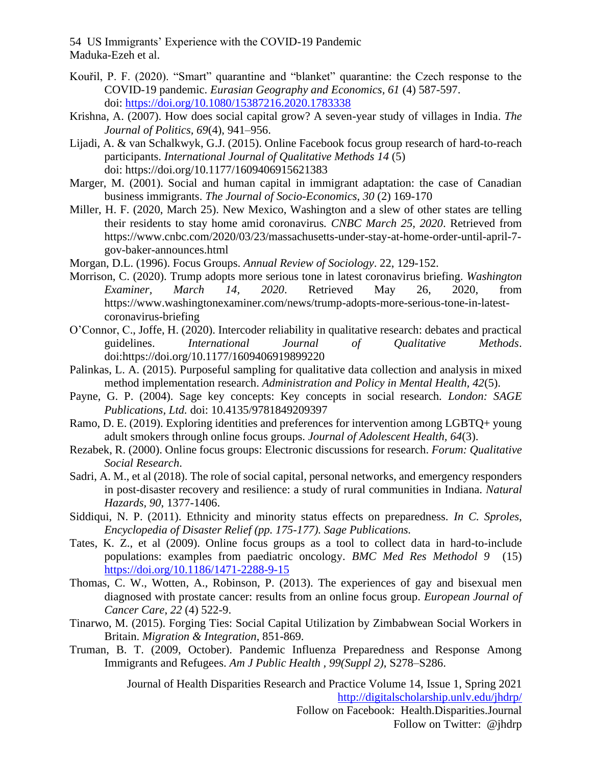- Kouřil, P. F. (2020). "Smart" quarantine and "blanket" quarantine: the Czech response to the COVID-19 pandemic. *Eurasian Geography and Economics, 61* (4) 587-597. doi: [https://doi.org/10.1080/15387216.2020.1783338](about:blank)
- Krishna, A. (2007). How does social capital grow? A seven-year study of villages in India. *The Journal of Politics, 69*(4), 941–956.
- Lijadi, A. & van Schalkwyk, G.J. (2015). Online Facebook focus group research of hard-to-reach participants. *International Journal of Qualitative Methods 14* (5) doi: https://doi.org/10.1177/1609406915621383
- Marger, M. (2001). Social and human capital in immigrant adaptation: the case of Canadian business immigrants. *The Journal of Socio-Economics*, *30* (2) 169-170
- Miller, H. F. (2020, March 25). New Mexico, Washington and a slew of other states are telling their residents to stay home amid coronavirus*. CNBC March 25, 2020*. Retrieved from https://www.cnbc.com/2020/03/23/massachusetts-under-stay-at-home-order-until-april-7 gov-baker-announces.html
- Morgan, D.L. (1996). Focus Groups. *Annual Review of Sociology*. 22, 129-152.
- Morrison, C. (2020). Trump adopts more serious tone in latest coronavirus briefing. *Washington Examiner, March 14, 2020*. Retrieved May 26, 2020, from https://www.washingtonexaminer.com/news/trump-adopts-more-serious-tone-in-latestcoronavirus-briefing
- O'Connor, C., Joffe, H. (2020). Intercoder reliability in qualitative research: debates and practical guidelines. *International Journal of Qualitative Methods*. doi:https://doi.org/10.1177/1609406919899220
- Palinkas, L. A. (2015). Purposeful sampling for qualitative data collection and analysis in mixed method implementation research. *Administration and Policy in Mental Health, 42*(5).
- Payne, G. P. (2004). Sage key concepts: Key concepts in social research*. London: SAGE Publications, Ltd.* doi: 10.4135/9781849209397
- Ramo, D. E. (2019). Exploring identities and preferences for intervention among LGBTQ+ young adult smokers through online focus groups. *Journal of Adolescent Health, 64*(3).
- Rezabek, R. (2000). Online focus groups: Electronic discussions for research. *Forum: Qualitative Social Research*.
- Sadri, A. M., et al (2018). The role of social capital, personal networks, and emergency responders in post-disaster recovery and resilience: a study of rural communities in Indiana. *Natural Hazards, 90*, 1377-1406.
- Siddiqui, N. P. (2011). Ethnicity and minority status effects on preparedness. *In C. Sproles, Encyclopedia of Disaster Relief (pp. 175-177). Sage Publications.*
- Tates, K. Z., et al (2009). Online focus groups as a tool to collect data in hard-to-include populations: examples from paediatric oncology. *BMC Med Res Methodol 9* (15) [https://doi.org/10.1186/1471-2288-9-15](about:blank)
- Thomas, C. W., Wotten, A., Robinson, P. (2013). The experiences of gay and bisexual men diagnosed with prostate cancer: results from an online focus group. *European Journal of Cancer Care*, *22* (4) 522-9.
- Tinarwo, M. (2015). Forging Ties: Social Capital Utilization by Zimbabwean Social Workers in Britain. *Migration & Integration*, 851-869.
- Truman, B. T. (2009, October). Pandemic Influenza Preparedness and Response Among Immigrants and Refugees. *Am J Public Health , 99(Suppl 2)*, S278–S286.